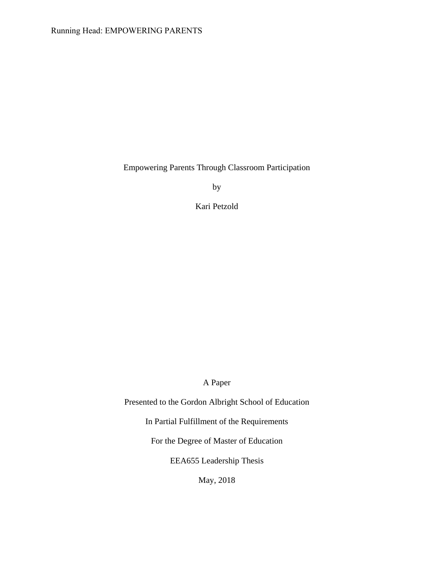# Running Head: EMPOWERING PARENTS

Empowering Parents Through Classroom Participation

by

Kari Petzold

A Paper

Presented to the Gordon Albright School of Education

In Partial Fulfillment of the Requirements

For the Degree of Master of Education

EEA655 Leadership Thesis

May, 2018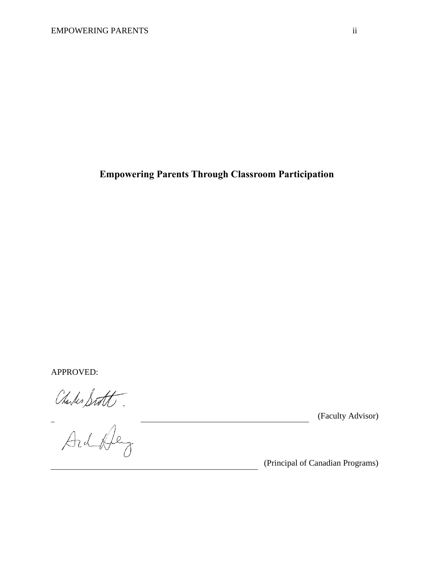# **Empowering Parents Through Classroom Participation**

APPROVED:

Charles Statt.

(Faculty Advisor)

(Principal of Canadian Programs)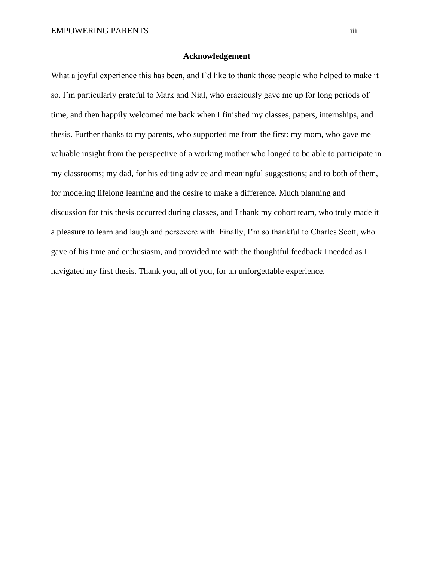### **Acknowledgement**

<span id="page-2-0"></span>What a joyful experience this has been, and I'd like to thank those people who helped to make it so. I'm particularly grateful to Mark and Nial, who graciously gave me up for long periods of time, and then happily welcomed me back when I finished my classes, papers, internships, and thesis. Further thanks to my parents, who supported me from the first: my mom, who gave me valuable insight from the perspective of a working mother who longed to be able to participate in my classrooms; my dad, for his editing advice and meaningful suggestions; and to both of them, for modeling lifelong learning and the desire to make a difference. Much planning and discussion for this thesis occurred during classes, and I thank my cohort team, who truly made it a pleasure to learn and laugh and persevere with. Finally, I'm so thankful to Charles Scott, who gave of his time and enthusiasm, and provided me with the thoughtful feedback I needed as I navigated my first thesis. Thank you, all of you, for an unforgettable experience.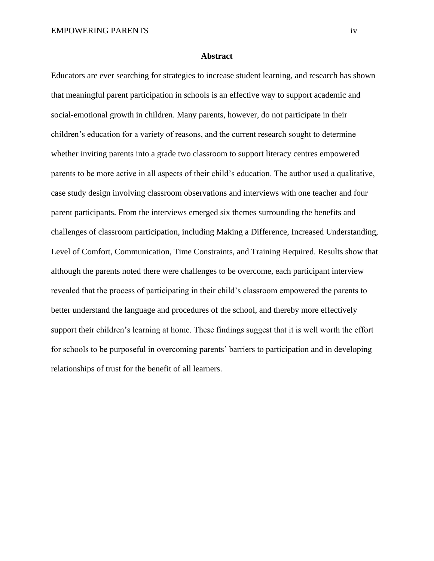#### <span id="page-3-0"></span>**Abstract**

Educators are ever searching for strategies to increase student learning, and research has shown that meaningful parent participation in schools is an effective way to support academic and social-emotional growth in children. Many parents, however, do not participate in their children's education for a variety of reasons, and the current research sought to determine whether inviting parents into a grade two classroom to support literacy centres empowered parents to be more active in all aspects of their child's education. The author used a qualitative, case study design involving classroom observations and interviews with one teacher and four parent participants. From the interviews emerged six themes surrounding the benefits and challenges of classroom participation, including Making a Difference, Increased Understanding, Level of Comfort, Communication, Time Constraints, and Training Required. Results show that although the parents noted there were challenges to be overcome, each participant interview revealed that the process of participating in their child's classroom empowered the parents to better understand the language and procedures of the school, and thereby more effectively support their children's learning at home. These findings suggest that it is well worth the effort for schools to be purposeful in overcoming parents' barriers to participation and in developing relationships of trust for the benefit of all learners.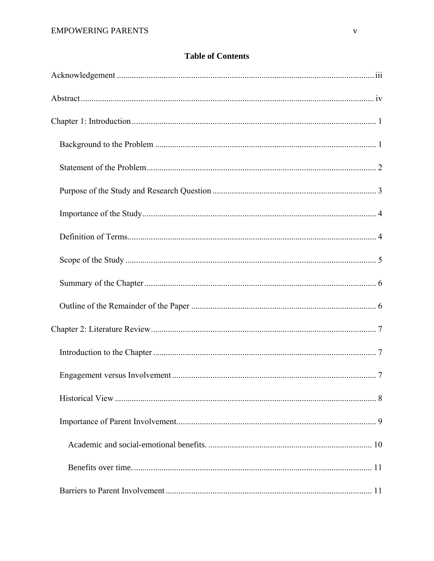# **Table of Contents**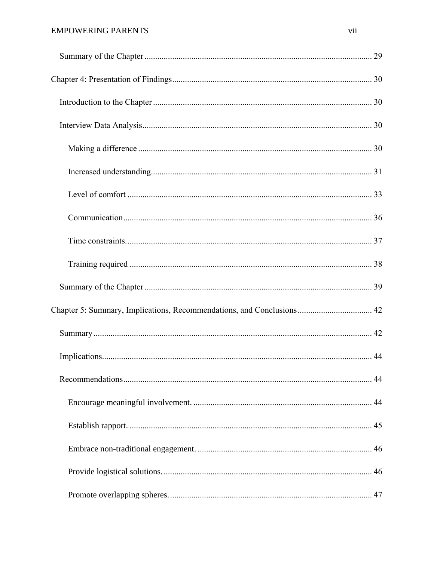# **EMPOWERING PARENTS**

| Chapter 5: Summary, Implications, Recommendations, and Conclusions 42 |  |
|-----------------------------------------------------------------------|--|
|                                                                       |  |
|                                                                       |  |
|                                                                       |  |
|                                                                       |  |
|                                                                       |  |
|                                                                       |  |
|                                                                       |  |
|                                                                       |  |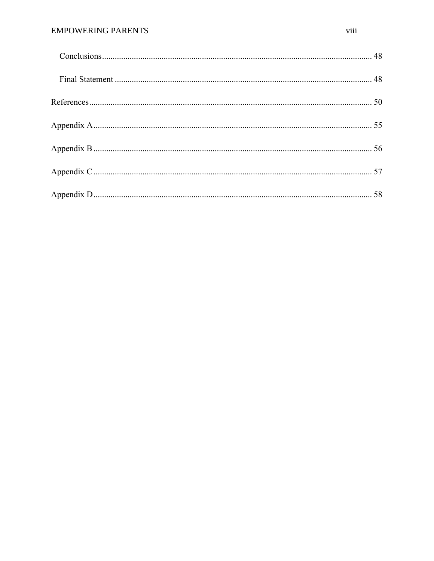# **EMPOWERING PARENTS**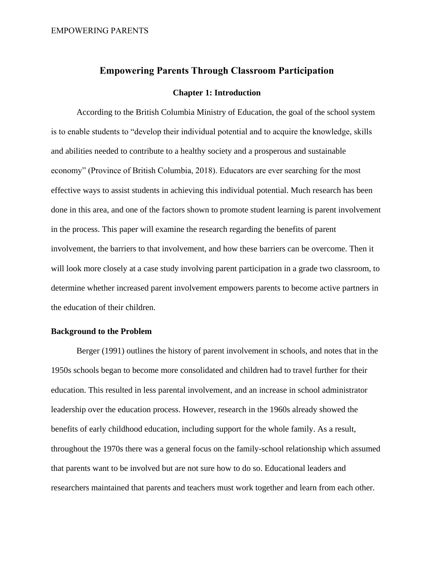# **Empowering Parents Through Classroom Participation**

#### **Chapter 1: Introduction**

<span id="page-8-0"></span>According to the British Columbia Ministry of Education, the goal of the school system is to enable students to "develop their individual potential and to acquire the knowledge, skills and abilities needed to contribute to a healthy society and a prosperous and sustainable economy" (Province of British Columbia, 2018). Educators are ever searching for the most effective ways to assist students in achieving this individual potential. Much research has been done in this area, and one of the factors shown to promote student learning is parent involvement in the process. This paper will examine the research regarding the benefits of parent involvement, the barriers to that involvement, and how these barriers can be overcome. Then it will look more closely at a case study involving parent participation in a grade two classroom, to determine whether increased parent involvement empowers parents to become active partners in the education of their children.

### <span id="page-8-1"></span>**Background to the Problem**

Berger (1991) outlines the history of parent involvement in schools, and notes that in the 1950s schools began to become more consolidated and children had to travel further for their education. This resulted in less parental involvement, and an increase in school administrator leadership over the education process. However, research in the 1960s already showed the benefits of early childhood education, including support for the whole family. As a result, throughout the 1970s there was a general focus on the family-school relationship which assumed that parents want to be involved but are not sure how to do so. Educational leaders and researchers maintained that parents and teachers must work together and learn from each other.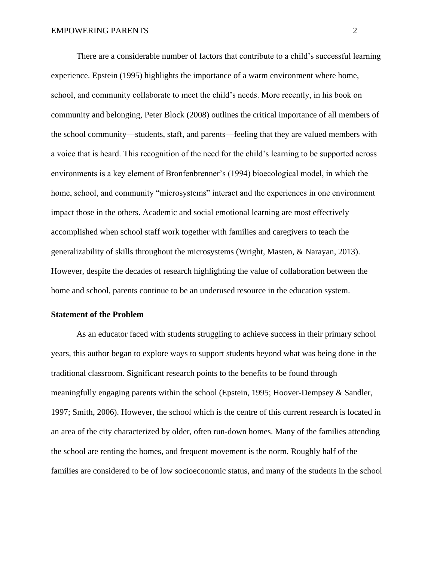There are a considerable number of factors that contribute to a child's successful learning experience. Epstein (1995) highlights the importance of a warm environment where home, school, and community collaborate to meet the child's needs. More recently, in his book on community and belonging, Peter Block (2008) outlines the critical importance of all members of the school community—students, staff, and parents—feeling that they are valued members with a voice that is heard. This recognition of the need for the child's learning to be supported across environments is a key element of Bronfenbrenner's (1994) bioecological model, in which the home, school, and community "microsystems" interact and the experiences in one environment impact those in the others. Academic and social emotional learning are most effectively accomplished when school staff work together with families and caregivers to teach the generalizability of skills throughout the microsystems (Wright, Masten, & Narayan, 2013). However, despite the decades of research highlighting the value of collaboration between the home and school, parents continue to be an underused resource in the education system.

#### <span id="page-9-0"></span>**Statement of the Problem**

As an educator faced with students struggling to achieve success in their primary school years, this author began to explore ways to support students beyond what was being done in the traditional classroom. Significant research points to the benefits to be found through meaningfully engaging parents within the school (Epstein, 1995; Hoover-Dempsey & Sandler, 1997; Smith, 2006). However, the school which is the centre of this current research is located in an area of the city characterized by older, often run-down homes. Many of the families attending the school are renting the homes, and frequent movement is the norm. Roughly half of the families are considered to be of low socioeconomic status, and many of the students in the school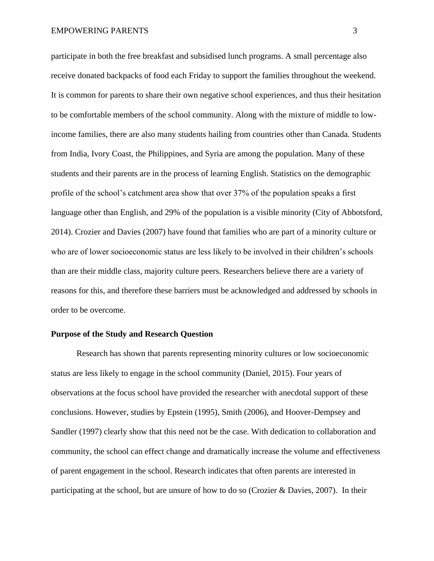participate in both the free breakfast and subsidised lunch programs. A small percentage also receive donated backpacks of food each Friday to support the families throughout the weekend. It is common for parents to share their own negative school experiences, and thus their hesitation to be comfortable members of the school community. Along with the mixture of middle to lowincome families, there are also many students hailing from countries other than Canada. Students from India, Ivory Coast, the Philippines, and Syria are among the population. Many of these students and their parents are in the process of learning English. Statistics on the demographic profile of the school's catchment area show that over 37% of the population speaks a first language other than English, and 29% of the population is a visible minority (City of Abbotsford, 2014). Crozier and Davies (2007) have found that families who are part of a minority culture or who are of lower socioeconomic status are less likely to be involved in their children's schools than are their middle class, majority culture peers. Researchers believe there are a variety of reasons for this, and therefore these barriers must be acknowledged and addressed by schools in order to be overcome.

#### <span id="page-10-0"></span>**Purpose of the Study and Research Question**

Research has shown that parents representing minority cultures or low socioeconomic status are less likely to engage in the school community (Daniel, 2015). Four years of observations at the focus school have provided the researcher with anecdotal support of these conclusions. However, studies by Epstein (1995), Smith (2006), and Hoover-Dempsey and Sandler (1997) clearly show that this need not be the case. With dedication to collaboration and community, the school can effect change and dramatically increase the volume and effectiveness of parent engagement in the school. Research indicates that often parents are interested in participating at the school, but are unsure of how to do so (Crozier & Davies, 2007). In their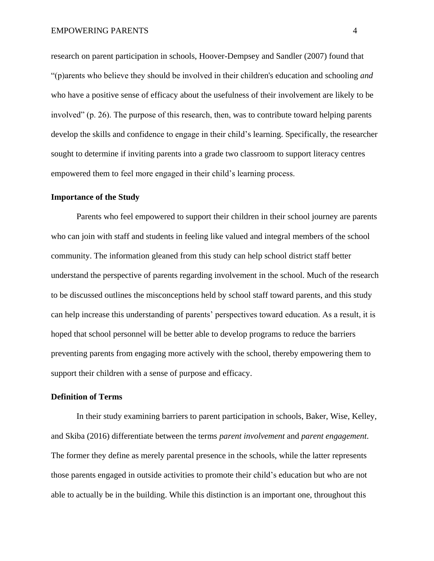research on parent participation in schools, Hoover-Dempsey and Sandler (2007) found that "(p)arents who believe they should be involved in their children's education and schooling *and*  who have a positive sense of efficacy about the usefulness of their involvement are likely to be involved" (p. 26). The purpose of this research, then, was to contribute toward helping parents develop the skills and confidence to engage in their child's learning. Specifically, the researcher sought to determine if inviting parents into a grade two classroom to support literacy centres empowered them to feel more engaged in their child's learning process.

#### <span id="page-11-0"></span>**Importance of the Study**

Parents who feel empowered to support their children in their school journey are parents who can join with staff and students in feeling like valued and integral members of the school community. The information gleaned from this study can help school district staff better understand the perspective of parents regarding involvement in the school. Much of the research to be discussed outlines the misconceptions held by school staff toward parents, and this study can help increase this understanding of parents' perspectives toward education. As a result, it is hoped that school personnel will be better able to develop programs to reduce the barriers preventing parents from engaging more actively with the school, thereby empowering them to support their children with a sense of purpose and efficacy.

### <span id="page-11-1"></span>**Definition of Terms**

In their study examining barriers to parent participation in schools, Baker, Wise, Kelley, and Skiba (2016) differentiate between the terms *parent involvement* and *parent engagement*. The former they define as merely parental presence in the schools, while the latter represents those parents engaged in outside activities to promote their child's education but who are not able to actually be in the building. While this distinction is an important one, throughout this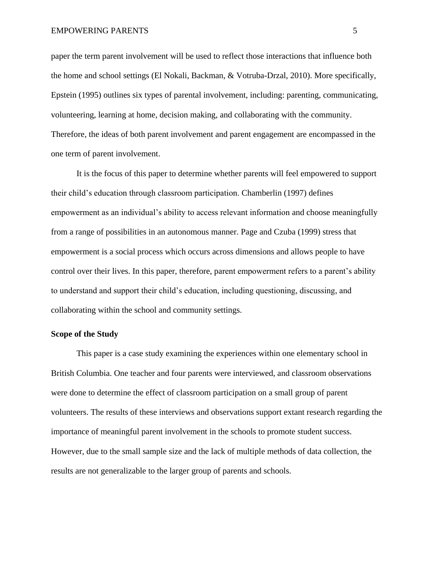paper the term parent involvement will be used to reflect those interactions that influence both the home and school settings (El Nokali, Backman, & Votruba-Drzal, 2010). More specifically, Epstein (1995) outlines six types of parental involvement, including: parenting, communicating, volunteering, learning at home, decision making, and collaborating with the community. Therefore, the ideas of both parent involvement and parent engagement are encompassed in the one term of parent involvement.

It is the focus of this paper to determine whether parents will feel empowered to support their child's education through classroom participation. Chamberlin (1997) defines empowerment as an individual's ability to access relevant information and choose meaningfully from a range of possibilities in an autonomous manner. Page and Czuba (1999) stress that empowerment is a social process which occurs across dimensions and allows people to have control over their lives. In this paper, therefore, parent empowerment refers to a parent's ability to understand and support their child's education, including questioning, discussing, and collaborating within the school and community settings.

#### <span id="page-12-0"></span>**Scope of the Study**

This paper is a case study examining the experiences within one elementary school in British Columbia. One teacher and four parents were interviewed, and classroom observations were done to determine the effect of classroom participation on a small group of parent volunteers. The results of these interviews and observations support extant research regarding the importance of meaningful parent involvement in the schools to promote student success. However, due to the small sample size and the lack of multiple methods of data collection, the results are not generalizable to the larger group of parents and schools.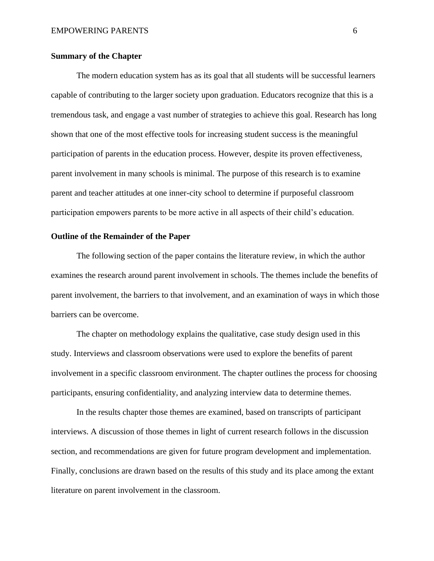### <span id="page-13-0"></span>**Summary of the Chapter**

The modern education system has as its goal that all students will be successful learners capable of contributing to the larger society upon graduation. Educators recognize that this is a tremendous task, and engage a vast number of strategies to achieve this goal. Research has long shown that one of the most effective tools for increasing student success is the meaningful participation of parents in the education process. However, despite its proven effectiveness, parent involvement in many schools is minimal. The purpose of this research is to examine parent and teacher attitudes at one inner-city school to determine if purposeful classroom participation empowers parents to be more active in all aspects of their child's education.

#### <span id="page-13-1"></span>**Outline of the Remainder of the Paper**

The following section of the paper contains the literature review, in which the author examines the research around parent involvement in schools. The themes include the benefits of parent involvement, the barriers to that involvement, and an examination of ways in which those barriers can be overcome.

The chapter on methodology explains the qualitative, case study design used in this study. Interviews and classroom observations were used to explore the benefits of parent involvement in a specific classroom environment. The chapter outlines the process for choosing participants, ensuring confidentiality, and analyzing interview data to determine themes.

In the results chapter those themes are examined, based on transcripts of participant interviews. A discussion of those themes in light of current research follows in the discussion section, and recommendations are given for future program development and implementation. Finally, conclusions are drawn based on the results of this study and its place among the extant literature on parent involvement in the classroom.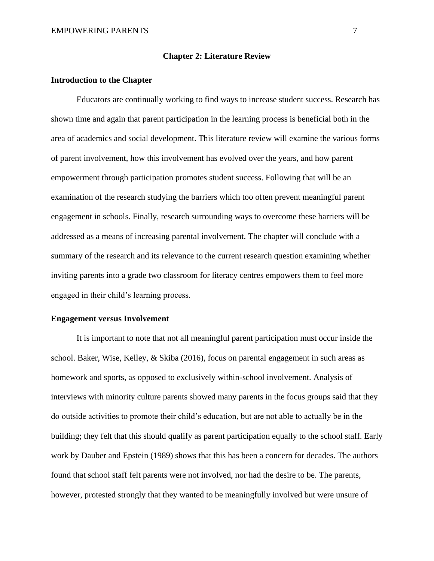#### **Chapter 2: Literature Review**

### <span id="page-14-1"></span><span id="page-14-0"></span>**Introduction to the Chapter**

Educators are continually working to find ways to increase student success. Research has shown time and again that parent participation in the learning process is beneficial both in the area of academics and social development. This literature review will examine the various forms of parent involvement, how this involvement has evolved over the years, and how parent empowerment through participation promotes student success. Following that will be an examination of the research studying the barriers which too often prevent meaningful parent engagement in schools. Finally, research surrounding ways to overcome these barriers will be addressed as a means of increasing parental involvement. The chapter will conclude with a summary of the research and its relevance to the current research question examining whether inviting parents into a grade two classroom for literacy centres empowers them to feel more engaged in their child's learning process.

#### <span id="page-14-2"></span>**Engagement versus Involvement**

It is important to note that not all meaningful parent participation must occur inside the school. Baker, Wise, Kelley, & Skiba (2016), focus on parental engagement in such areas as homework and sports, as opposed to exclusively within-school involvement. Analysis of interviews with minority culture parents showed many parents in the focus groups said that they do outside activities to promote their child's education, but are not able to actually be in the building; they felt that this should qualify as parent participation equally to the school staff. Early work by Dauber and Epstein (1989) shows that this has been a concern for decades. The authors found that school staff felt parents were not involved, nor had the desire to be. The parents, however, protested strongly that they wanted to be meaningfully involved but were unsure of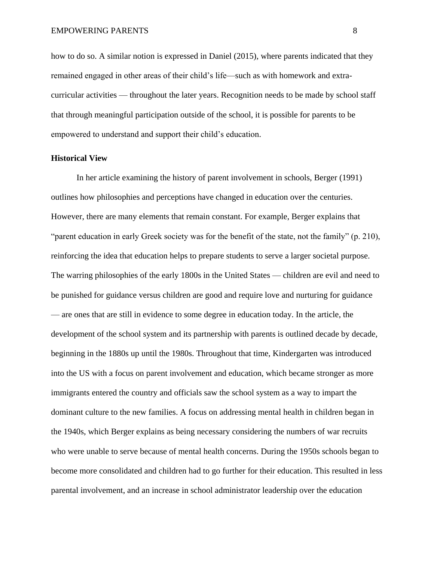how to do so. A similar notion is expressed in Daniel (2015), where parents indicated that they remained engaged in other areas of their child's life—such as with homework and extracurricular activities — throughout the later years. Recognition needs to be made by school staff that through meaningful participation outside of the school, it is possible for parents to be empowered to understand and support their child's education.

#### <span id="page-15-0"></span>**Historical View**

In her article examining the history of parent involvement in schools, Berger (1991) outlines how philosophies and perceptions have changed in education over the centuries. However, there are many elements that remain constant. For example, Berger explains that "parent education in early Greek society was for the benefit of the state, not the family" (p. 210), reinforcing the idea that education helps to prepare students to serve a larger societal purpose. The warring philosophies of the early 1800s in the United States — children are evil and need to be punished for guidance versus children are good and require love and nurturing for guidance — are ones that are still in evidence to some degree in education today. In the article, the development of the school system and its partnership with parents is outlined decade by decade, beginning in the 1880s up until the 1980s. Throughout that time, Kindergarten was introduced into the US with a focus on parent involvement and education, which became stronger as more immigrants entered the country and officials saw the school system as a way to impart the dominant culture to the new families. A focus on addressing mental health in children began in the 1940s, which Berger explains as being necessary considering the numbers of war recruits who were unable to serve because of mental health concerns. During the 1950s schools began to become more consolidated and children had to go further for their education. This resulted in less parental involvement, and an increase in school administrator leadership over the education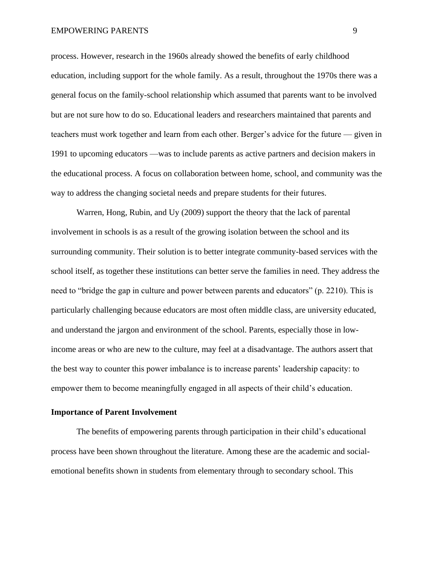#### EMPOWERING PARENTS 9

process. However, research in the 1960s already showed the benefits of early childhood education, including support for the whole family. As a result, throughout the 1970s there was a general focus on the family-school relationship which assumed that parents want to be involved but are not sure how to do so. Educational leaders and researchers maintained that parents and teachers must work together and learn from each other. Berger's advice for the future — given in 1991 to upcoming educators —was to include parents as active partners and decision makers in the educational process. A focus on collaboration between home, school, and community was the way to address the changing societal needs and prepare students for their futures.

Warren, Hong, Rubin, and Uy (2009) support the theory that the lack of parental involvement in schools is as a result of the growing isolation between the school and its surrounding community. Their solution is to better integrate community-based services with the school itself, as together these institutions can better serve the families in need. They address the need to "bridge the gap in culture and power between parents and educators" (p. 2210). This is particularly challenging because educators are most often middle class, are university educated, and understand the jargon and environment of the school. Parents, especially those in lowincome areas or who are new to the culture, may feel at a disadvantage. The authors assert that the best way to counter this power imbalance is to increase parents' leadership capacity: to empower them to become meaningfully engaged in all aspects of their child's education.

#### <span id="page-16-0"></span>**Importance of Parent Involvement**

The benefits of empowering parents through participation in their child's educational process have been shown throughout the literature. Among these are the academic and socialemotional benefits shown in students from elementary through to secondary school. This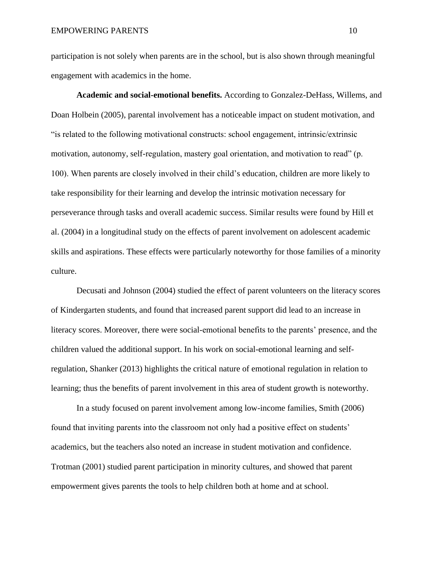participation is not solely when parents are in the school, but is also shown through meaningful engagement with academics in the home.

<span id="page-17-0"></span>**Academic and social-emotional benefits.** According to Gonzalez-DeHass, Willems, and Doan Holbein (2005), parental involvement has a noticeable impact on student motivation, and "is related to the following motivational constructs: school engagement, intrinsic/extrinsic motivation, autonomy, self-regulation, mastery goal orientation, and motivation to read" (p. 100). When parents are closely involved in their child's education, children are more likely to take responsibility for their learning and develop the intrinsic motivation necessary for perseverance through tasks and overall academic success. Similar results were found by Hill et al. (2004) in a longitudinal study on the effects of parent involvement on adolescent academic skills and aspirations. These effects were particularly noteworthy for those families of a minority culture.

Decusati and Johnson (2004) studied the effect of parent volunteers on the literacy scores of Kindergarten students, and found that increased parent support did lead to an increase in literacy scores. Moreover, there were social-emotional benefits to the parents' presence, and the children valued the additional support. In his work on social-emotional learning and selfregulation, Shanker (2013) highlights the critical nature of emotional regulation in relation to learning; thus the benefits of parent involvement in this area of student growth is noteworthy.

In a study focused on parent involvement among low-income families, Smith (2006) found that inviting parents into the classroom not only had a positive effect on students' academics, but the teachers also noted an increase in student motivation and confidence. Trotman (2001) studied parent participation in minority cultures, and showed that parent empowerment gives parents the tools to help children both at home and at school.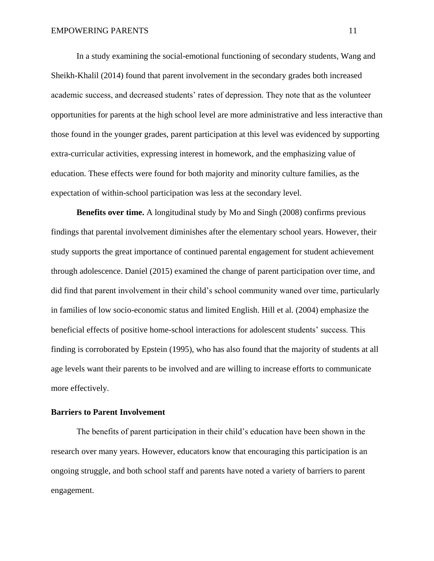In a study examining the social-emotional functioning of secondary students, Wang and Sheikh-Khalil (2014) found that parent involvement in the secondary grades both increased academic success, and decreased students' rates of depression. They note that as the volunteer opportunities for parents at the high school level are more administrative and less interactive than those found in the younger grades, parent participation at this level was evidenced by supporting extra-curricular activities, expressing interest in homework, and the emphasizing value of education. These effects were found for both majority and minority culture families, as the expectation of within-school participation was less at the secondary level.

<span id="page-18-0"></span>**Benefits over time.** A longitudinal study by Mo and Singh (2008) confirms previous findings that parental involvement diminishes after the elementary school years. However, their study supports the great importance of continued parental engagement for student achievement through adolescence. Daniel (2015) examined the change of parent participation over time, and did find that parent involvement in their child's school community waned over time, particularly in families of low socio-economic status and limited English. Hill et al. (2004) emphasize the beneficial effects of positive home-school interactions for adolescent students' success. This finding is corroborated by Epstein (1995), who has also found that the majority of students at all age levels want their parents to be involved and are willing to increase efforts to communicate more effectively.

### <span id="page-18-1"></span>**Barriers to Parent Involvement**

The benefits of parent participation in their child's education have been shown in the research over many years. However, educators know that encouraging this participation is an ongoing struggle, and both school staff and parents have noted a variety of barriers to parent engagement.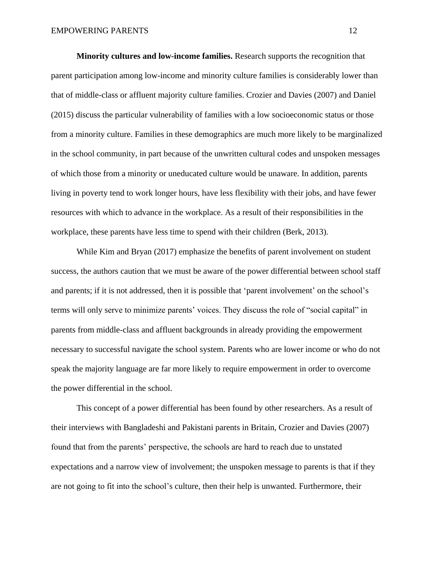<span id="page-19-0"></span>**Minority cultures and low-income families.** Research supports the recognition that parent participation among low-income and minority culture families is considerably lower than that of middle-class or affluent majority culture families. Crozier and Davies (2007) and Daniel (2015) discuss the particular vulnerability of families with a low socioeconomic status or those from a minority culture. Families in these demographics are much more likely to be marginalized in the school community, in part because of the unwritten cultural codes and unspoken messages of which those from a minority or uneducated culture would be unaware. In addition, parents living in poverty tend to work longer hours, have less flexibility with their jobs, and have fewer resources with which to advance in the workplace. As a result of their responsibilities in the workplace, these parents have less time to spend with their children (Berk, 2013).

While Kim and Bryan (2017) emphasize the benefits of parent involvement on student success, the authors caution that we must be aware of the power differential between school staff and parents; if it is not addressed, then it is possible that 'parent involvement' on the school's terms will only serve to minimize parents' voices. They discuss the role of "social capital" in parents from middle-class and affluent backgrounds in already providing the empowerment necessary to successful navigate the school system. Parents who are lower income or who do not speak the majority language are far more likely to require empowerment in order to overcome the power differential in the school.

This concept of a power differential has been found by other researchers. As a result of their interviews with Bangladeshi and Pakistani parents in Britain, Crozier and Davies (2007) found that from the parents' perspective, the schools are hard to reach due to unstated expectations and a narrow view of involvement; the unspoken message to parents is that if they are not going to fit into the school's culture, then their help is unwanted. Furthermore, their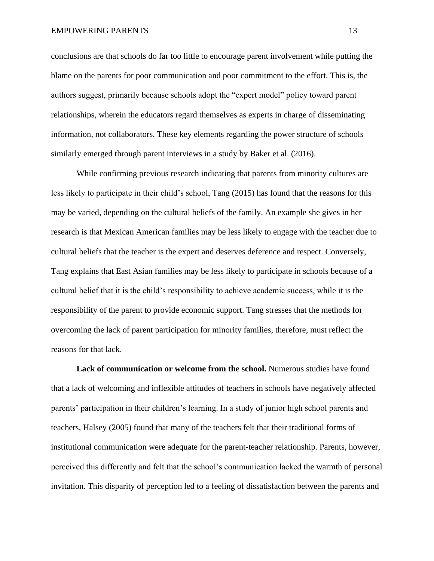#### EMPOWERING PARENTS 13

conclusions are that schools do far too little to encourage parent involvement while putting the blame on the parents for poor communication and poor commitment to the effort. This is, the authors suggest, primarily because schools adopt the "expert model" policy toward parent relationships, wherein the educators regard themselves as experts in charge of disseminating information, not collaborators. These key elements regarding the power structure of schools similarly emerged through parent interviews in a study by Baker et al. (2016).

While confirming previous research indicating that parents from minority cultures are less likely to participate in their child's school, Tang (2015) has found that the reasons for this may be varied, depending on the cultural beliefs of the family. An example she gives in her research is that Mexican American families may be less likely to engage with the teacher due to cultural beliefs that the teacher is the expert and deserves deference and respect. Conversely, Tang explains that East Asian families may be less likely to participate in schools because of a cultural belief that it is the child's responsibility to achieve academic success, while it is the responsibility of the parent to provide economic support. Tang stresses that the methods for overcoming the lack of parent participation for minority families, therefore, must reflect the reasons for that lack.

<span id="page-20-0"></span>**Lack of communication or welcome from the school.** Numerous studies have found that a lack of welcoming and inflexible attitudes of teachers in schools have negatively affected parents' participation in their children's learning. In a study of junior high school parents and teachers, Halsey (2005) found that many of the teachers felt that their traditional forms of institutional communication were adequate for the parent-teacher relationship. Parents, however, perceived this differently and felt that the school's communication lacked the warmth of personal invitation. This disparity of perception led to a feeling of dissatisfaction between the parents and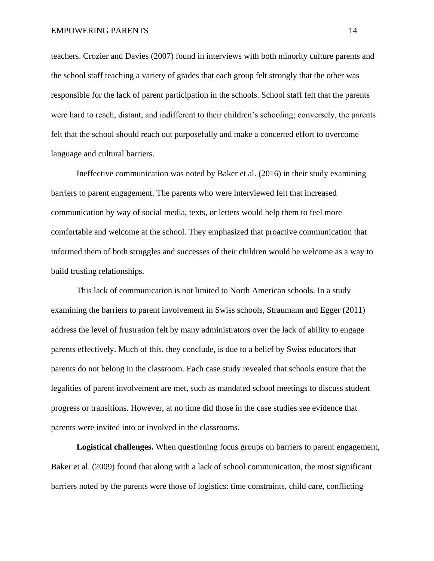#### EMPOWERING PARENTS 14

teachers. Crozier and Davies (2007) found in interviews with both minority culture parents and the school staff teaching a variety of grades that each group felt strongly that the other was responsible for the lack of parent participation in the schools. School staff felt that the parents were hard to reach, distant, and indifferent to their children's schooling; conversely, the parents felt that the school should reach out purposefully and make a concerted effort to overcome language and cultural barriers.

Ineffective communication was noted by Baker et al. (2016) in their study examining barriers to parent engagement. The parents who were interviewed felt that increased communication by way of social media, texts, or letters would help them to feel more comfortable and welcome at the school. They emphasized that proactive communication that informed them of both struggles and successes of their children would be welcome as a way to build trusting relationships.

This lack of communication is not limited to North American schools. In a study examining the barriers to parent involvement in Swiss schools, Straumann and Egger (2011) address the level of frustration felt by many administrators over the lack of ability to engage parents effectively. Much of this, they conclude, is due to a belief by Swiss educators that parents do not belong in the classroom. Each case study revealed that schools ensure that the legalities of parent involvement are met, such as mandated school meetings to discuss student progress or transitions. However, at no time did those in the case studies see evidence that parents were invited into or involved in the classrooms.

<span id="page-21-0"></span>**Logistical challenges.** When questioning focus groups on barriers to parent engagement, Baker et al. (2009) found that along with a lack of school communication, the most significant barriers noted by the parents were those of logistics: time constraints, child care, conflicting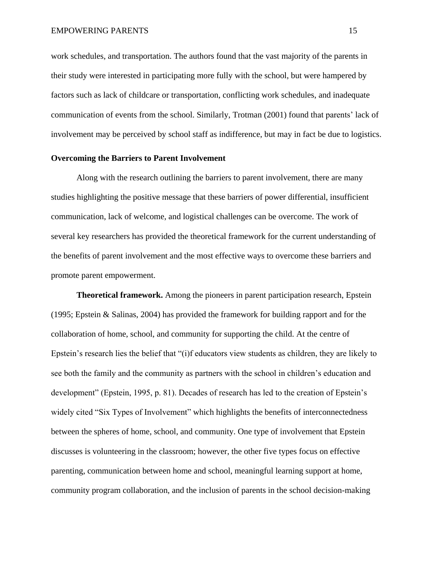work schedules, and transportation. The authors found that the vast majority of the parents in their study were interested in participating more fully with the school, but were hampered by factors such as lack of childcare or transportation, conflicting work schedules, and inadequate communication of events from the school. Similarly, Trotman (2001) found that parents' lack of involvement may be perceived by school staff as indifference, but may in fact be due to logistics.

#### <span id="page-22-0"></span>**Overcoming the Barriers to Parent Involvement**

Along with the research outlining the barriers to parent involvement, there are many studies highlighting the positive message that these barriers of power differential, insufficient communication, lack of welcome, and logistical challenges can be overcome. The work of several key researchers has provided the theoretical framework for the current understanding of the benefits of parent involvement and the most effective ways to overcome these barriers and promote parent empowerment.

<span id="page-22-1"></span>**Theoretical framework.** Among the pioneers in parent participation research, Epstein (1995; Epstein & Salinas, 2004) has provided the framework for building rapport and for the collaboration of home, school, and community for supporting the child. At the centre of Epstein's research lies the belief that "(i)f educators view students as children, they are likely to see both the family and the community as partners with the school in children's education and development" (Epstein, 1995, p. 81). Decades of research has led to the creation of Epstein's widely cited "Six Types of Involvement" which highlights the benefits of interconnectedness between the spheres of home, school, and community. One type of involvement that Epstein discusses is volunteering in the classroom; however, the other five types focus on effective parenting, communication between home and school, meaningful learning support at home, community program collaboration, and the inclusion of parents in the school decision-making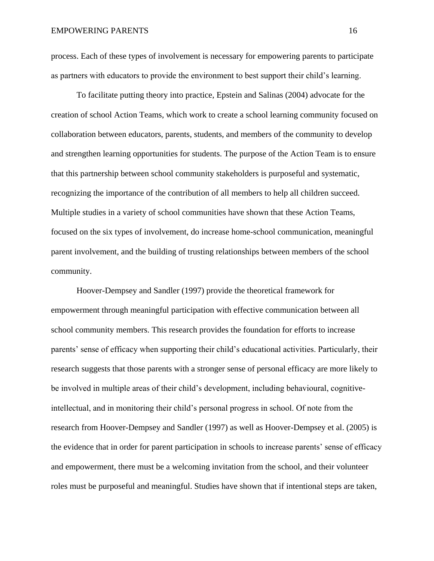process. Each of these types of involvement is necessary for empowering parents to participate as partners with educators to provide the environment to best support their child's learning.

To facilitate putting theory into practice, Epstein and Salinas (2004) advocate for the creation of school Action Teams, which work to create a school learning community focused on collaboration between educators, parents, students, and members of the community to develop and strengthen learning opportunities for students. The purpose of the Action Team is to ensure that this partnership between school community stakeholders is purposeful and systematic, recognizing the importance of the contribution of all members to help all children succeed. Multiple studies in a variety of school communities have shown that these Action Teams, focused on the six types of involvement, do increase home-school communication, meaningful parent involvement, and the building of trusting relationships between members of the school community.

Hoover-Dempsey and Sandler (1997) provide the theoretical framework for empowerment through meaningful participation with effective communication between all school community members. This research provides the foundation for efforts to increase parents' sense of efficacy when supporting their child's educational activities. Particularly, their research suggests that those parents with a stronger sense of personal efficacy are more likely to be involved in multiple areas of their child's development, including behavioural, cognitiveintellectual, and in monitoring their child's personal progress in school. Of note from the research from Hoover-Dempsey and Sandler (1997) as well as Hoover-Dempsey et al. (2005) is the evidence that in order for parent participation in schools to increase parents' sense of efficacy and empowerment, there must be a welcoming invitation from the school, and their volunteer roles must be purposeful and meaningful. Studies have shown that if intentional steps are taken,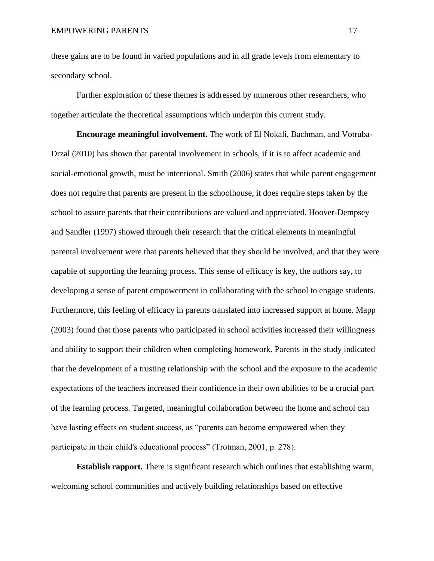these gains are to be found in varied populations and in all grade levels from elementary to secondary school.

Further exploration of these themes is addressed by numerous other researchers, who together articulate the theoretical assumptions which underpin this current study.

<span id="page-24-0"></span>**Encourage meaningful involvement.** The work of El Nokali, Bachman, and Votruba-Drzal (2010) has shown that parental involvement in schools, if it is to affect academic and social-emotional growth, must be intentional. Smith (2006) states that while parent engagement does not require that parents are present in the schoolhouse, it does require steps taken by the school to assure parents that their contributions are valued and appreciated. Hoover-Dempsey and Sandler (1997) showed through their research that the critical elements in meaningful parental involvement were that parents believed that they should be involved, and that they were capable of supporting the learning process. This sense of efficacy is key, the authors say, to developing a sense of parent empowerment in collaborating with the school to engage students. Furthermore, this feeling of efficacy in parents translated into increased support at home. Mapp (2003) found that those parents who participated in school activities increased their willingness and ability to support their children when completing homework. Parents in the study indicated that the development of a trusting relationship with the school and the exposure to the academic expectations of the teachers increased their confidence in their own abilities to be a crucial part of the learning process. Targeted, meaningful collaboration between the home and school can have lasting effects on student success, as "parents can become empowered when they participate in their child's educational process" (Trotman, 2001, p. 278).

<span id="page-24-1"></span>**Establish rapport.** There is significant research which outlines that establishing warm, welcoming school communities and actively building relationships based on effective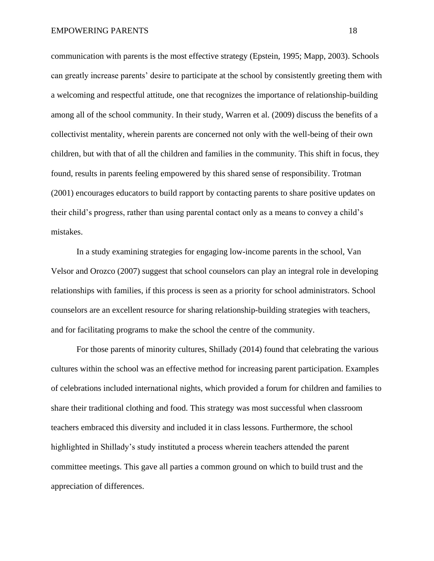communication with parents is the most effective strategy (Epstein, 1995; Mapp, 2003). Schools can greatly increase parents' desire to participate at the school by consistently greeting them with a welcoming and respectful attitude, one that recognizes the importance of relationship-building among all of the school community. In their study, Warren et al. (2009) discuss the benefits of a collectivist mentality, wherein parents are concerned not only with the well-being of their own children, but with that of all the children and families in the community. This shift in focus, they found, results in parents feeling empowered by this shared sense of responsibility. Trotman (2001) encourages educators to build rapport by contacting parents to share positive updates on their child's progress, rather than using parental contact only as a means to convey a child's mistakes.

In a study examining strategies for engaging low-income parents in the school, Van Velsor and Orozco (2007) suggest that school counselors can play an integral role in developing relationships with families, if this process is seen as a priority for school administrators. School counselors are an excellent resource for sharing relationship-building strategies with teachers, and for facilitating programs to make the school the centre of the community.

For those parents of minority cultures, Shillady (2014) found that celebrating the various cultures within the school was an effective method for increasing parent participation. Examples of celebrations included international nights, which provided a forum for children and families to share their traditional clothing and food. This strategy was most successful when classroom teachers embraced this diversity and included it in class lessons. Furthermore, the school highlighted in Shillady's study instituted a process wherein teachers attended the parent committee meetings. This gave all parties a common ground on which to build trust and the appreciation of differences.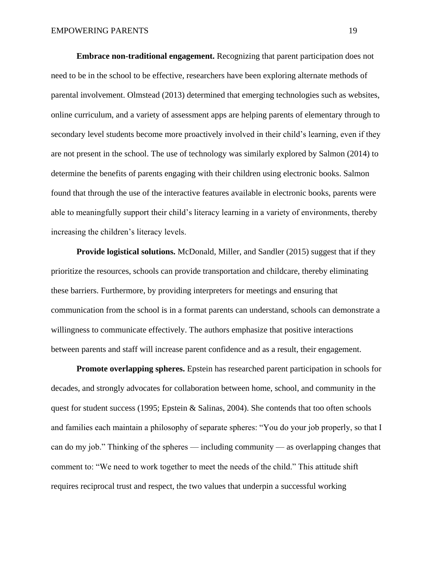<span id="page-26-0"></span>**Embrace non-traditional engagement.** Recognizing that parent participation does not need to be in the school to be effective, researchers have been exploring alternate methods of parental involvement. Olmstead (2013) determined that emerging technologies such as websites, online curriculum, and a variety of assessment apps are helping parents of elementary through to secondary level students become more proactively involved in their child's learning, even if they are not present in the school. The use of technology was similarly explored by Salmon (2014) to determine the benefits of parents engaging with their children using electronic books. Salmon found that through the use of the interactive features available in electronic books, parents were able to meaningfully support their child's literacy learning in a variety of environments, thereby increasing the children's literacy levels.

<span id="page-26-1"></span>**Provide logistical solutions.** McDonald, Miller, and Sandler (2015) suggest that if they prioritize the resources, schools can provide transportation and childcare, thereby eliminating these barriers. Furthermore, by providing interpreters for meetings and ensuring that communication from the school is in a format parents can understand, schools can demonstrate a willingness to communicate effectively. The authors emphasize that positive interactions between parents and staff will increase parent confidence and as a result, their engagement.

<span id="page-26-2"></span>**Promote overlapping spheres.** Epstein has researched parent participation in schools for decades, and strongly advocates for collaboration between home, school, and community in the quest for student success (1995; Epstein & Salinas, 2004). She contends that too often schools and families each maintain a philosophy of separate spheres: "You do your job properly, so that I can do my job." Thinking of the spheres — including community — as overlapping changes that comment to: "We need to work together to meet the needs of the child." This attitude shift requires reciprocal trust and respect, the two values that underpin a successful working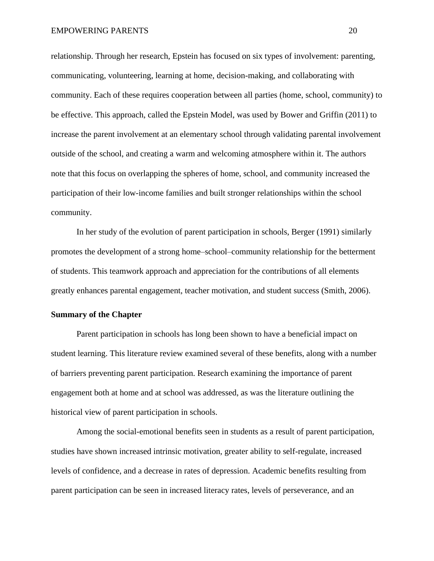relationship. Through her research, Epstein has focused on six types of involvement: parenting, communicating, volunteering, learning at home, decision-making, and collaborating with community. Each of these requires cooperation between all parties (home, school, community) to be effective. This approach, called the Epstein Model, was used by Bower and Griffin (2011) to increase the parent involvement at an elementary school through validating parental involvement outside of the school, and creating a warm and welcoming atmosphere within it. The authors note that this focus on overlapping the spheres of home, school, and community increased the participation of their low-income families and built stronger relationships within the school community.

In her study of the evolution of parent participation in schools, Berger (1991) similarly promotes the development of a strong home–school–community relationship for the betterment of students. This teamwork approach and appreciation for the contributions of all elements greatly enhances parental engagement, teacher motivation, and student success (Smith, 2006).

### <span id="page-27-0"></span>**Summary of the Chapter**

Parent participation in schools has long been shown to have a beneficial impact on student learning. This literature review examined several of these benefits, along with a number of barriers preventing parent participation. Research examining the importance of parent engagement both at home and at school was addressed, as was the literature outlining the historical view of parent participation in schools.

Among the social-emotional benefits seen in students as a result of parent participation, studies have shown increased intrinsic motivation, greater ability to self-regulate, increased levels of confidence, and a decrease in rates of depression. Academic benefits resulting from parent participation can be seen in increased literacy rates, levels of perseverance, and an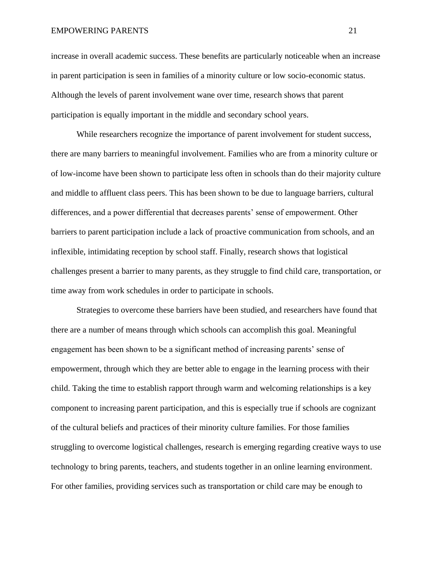#### EMPOWERING PARENTS 21

increase in overall academic success. These benefits are particularly noticeable when an increase in parent participation is seen in families of a minority culture or low socio-economic status. Although the levels of parent involvement wane over time, research shows that parent participation is equally important in the middle and secondary school years.

While researchers recognize the importance of parent involvement for student success, there are many barriers to meaningful involvement. Families who are from a minority culture or of low-income have been shown to participate less often in schools than do their majority culture and middle to affluent class peers. This has been shown to be due to language barriers, cultural differences, and a power differential that decreases parents' sense of empowerment. Other barriers to parent participation include a lack of proactive communication from schools, and an inflexible, intimidating reception by school staff. Finally, research shows that logistical challenges present a barrier to many parents, as they struggle to find child care, transportation, or time away from work schedules in order to participate in schools.

Strategies to overcome these barriers have been studied, and researchers have found that there are a number of means through which schools can accomplish this goal. Meaningful engagement has been shown to be a significant method of increasing parents' sense of empowerment, through which they are better able to engage in the learning process with their child. Taking the time to establish rapport through warm and welcoming relationships is a key component to increasing parent participation, and this is especially true if schools are cognizant of the cultural beliefs and practices of their minority culture families. For those families struggling to overcome logistical challenges, research is emerging regarding creative ways to use technology to bring parents, teachers, and students together in an online learning environment. For other families, providing services such as transportation or child care may be enough to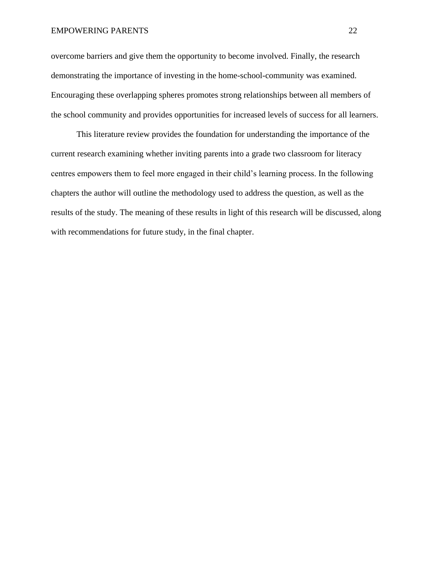#### EMPOWERING PARENTS 22

overcome barriers and give them the opportunity to become involved. Finally, the research demonstrating the importance of investing in the home-school-community was examined. Encouraging these overlapping spheres promotes strong relationships between all members of the school community and provides opportunities for increased levels of success for all learners.

This literature review provides the foundation for understanding the importance of the current research examining whether inviting parents into a grade two classroom for literacy centres empowers them to feel more engaged in their child's learning process. In the following chapters the author will outline the methodology used to address the question, as well as the results of the study. The meaning of these results in light of this research will be discussed, along with recommendations for future study, in the final chapter.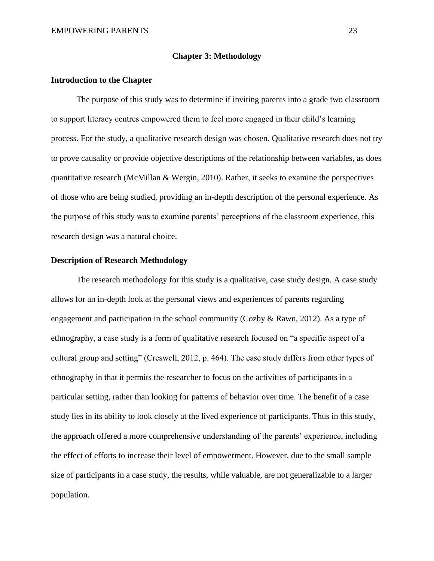### **Chapter 3: Methodology**

### <span id="page-30-1"></span><span id="page-30-0"></span>**Introduction to the Chapter**

The purpose of this study was to determine if inviting parents into a grade two classroom to support literacy centres empowered them to feel more engaged in their child's learning process. For the study, a qualitative research design was chosen. Qualitative research does not try to prove causality or provide objective descriptions of the relationship between variables, as does quantitative research (McMillan & Wergin, 2010). Rather, it seeks to examine the perspectives of those who are being studied, providing an in-depth description of the personal experience. As the purpose of this study was to examine parents' perceptions of the classroom experience, this research design was a natural choice.

### <span id="page-30-2"></span>**Description of Research Methodology**

The research methodology for this study is a qualitative, case study design. A case study allows for an in-depth look at the personal views and experiences of parents regarding engagement and participation in the school community (Cozby  $\&$  Rawn, 2012). As a type of ethnography, a case study is a form of qualitative research focused on "a specific aspect of a cultural group and setting" (Creswell, 2012, p. 464). The case study differs from other types of ethnography in that it permits the researcher to focus on the activities of participants in a particular setting, rather than looking for patterns of behavior over time. The benefit of a case study lies in its ability to look closely at the lived experience of participants. Thus in this study, the approach offered a more comprehensive understanding of the parents' experience, including the effect of efforts to increase their level of empowerment. However, due to the small sample size of participants in a case study, the results, while valuable, are not generalizable to a larger population.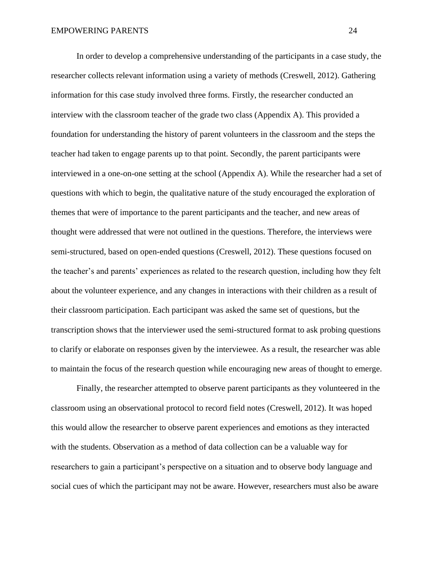In order to develop a comprehensive understanding of the participants in a case study, the researcher collects relevant information using a variety of methods (Creswell, 2012). Gathering information for this case study involved three forms. Firstly, the researcher conducted an interview with the classroom teacher of the grade two class (Appendix A). This provided a foundation for understanding the history of parent volunteers in the classroom and the steps the teacher had taken to engage parents up to that point. Secondly, the parent participants were interviewed in a one-on-one setting at the school (Appendix A). While the researcher had a set of questions with which to begin, the qualitative nature of the study encouraged the exploration of themes that were of importance to the parent participants and the teacher, and new areas of thought were addressed that were not outlined in the questions. Therefore, the interviews were semi-structured, based on open-ended questions (Creswell, 2012). These questions focused on the teacher's and parents' experiences as related to the research question, including how they felt about the volunteer experience, and any changes in interactions with their children as a result of their classroom participation. Each participant was asked the same set of questions, but the transcription shows that the interviewer used the semi-structured format to ask probing questions to clarify or elaborate on responses given by the interviewee. As a result, the researcher was able to maintain the focus of the research question while encouraging new areas of thought to emerge.

Finally, the researcher attempted to observe parent participants as they volunteered in the classroom using an observational protocol to record field notes (Creswell, 2012). It was hoped this would allow the researcher to observe parent experiences and emotions as they interacted with the students. Observation as a method of data collection can be a valuable way for researchers to gain a participant's perspective on a situation and to observe body language and social cues of which the participant may not be aware. However, researchers must also be aware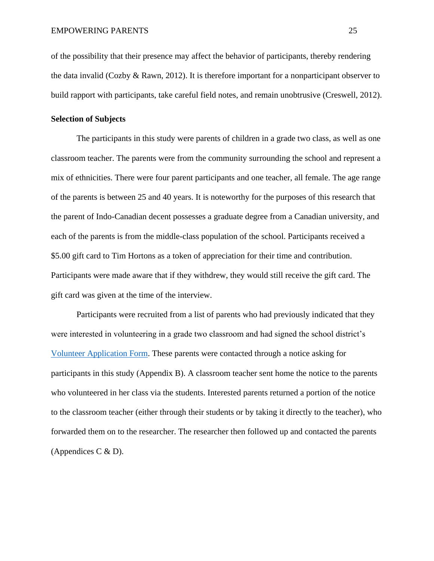of the possibility that their presence may affect the behavior of participants, thereby rendering the data invalid (Cozby  $\&$  Rawn, 2012). It is therefore important for a nonparticipant observer to build rapport with participants, take careful field notes, and remain unobtrusive (Creswell, 2012).

### <span id="page-32-0"></span>**Selection of Subjects**

The participants in this study were parents of children in a grade two class, as well as one classroom teacher. The parents were from the community surrounding the school and represent a mix of ethnicities. There were four parent participants and one teacher, all female. The age range of the parents is between 25 and 40 years. It is noteworthy for the purposes of this research that the parent of Indo-Canadian decent possesses a graduate degree from a Canadian university, and each of the parents is from the middle-class population of the school. Participants received a \$5.00 gift card to Tim Hortons as a token of appreciation for their time and contribution. Participants were made aware that if they withdrew, they would still receive the gift card. The gift card was given at the time of the interview.

Participants were recruited from a list of parents who had previously indicated that they were interested in volunteering in a grade two classroom and had signed the school district's [Volunteer Application Form.](https://www.abbyschools.ca/sites/default/files/AP%20416%20%2B%20forms%20-%20Volunteers.pdf) These parents were contacted through a notice asking for participants in this study (Appendix B). A classroom teacher sent home the notice to the parents who volunteered in her class via the students. Interested parents returned a portion of the notice to the classroom teacher (either through their students or by taking it directly to the teacher), who forwarded them on to the researcher. The researcher then followed up and contacted the parents (Appendices C  $\&$  D).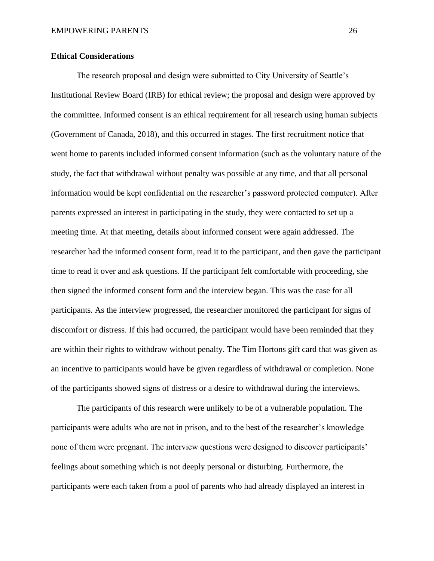### <span id="page-33-0"></span>**Ethical Considerations**

The research proposal and design were submitted to City University of Seattle's Institutional Review Board (IRB) for ethical review; the proposal and design were approved by the committee. Informed consent is an ethical requirement for all research using human subjects (Government of Canada, 2018), and this occurred in stages. The first recruitment notice that went home to parents included informed consent information (such as the voluntary nature of the study, the fact that withdrawal without penalty was possible at any time, and that all personal information would be kept confidential on the researcher's password protected computer). After parents expressed an interest in participating in the study, they were contacted to set up a meeting time. At that meeting, details about informed consent were again addressed. The researcher had the informed consent form, read it to the participant, and then gave the participant time to read it over and ask questions. If the participant felt comfortable with proceeding, she then signed the informed consent form and the interview began. This was the case for all participants. As the interview progressed, the researcher monitored the participant for signs of discomfort or distress. If this had occurred, the participant would have been reminded that they are within their rights to withdraw without penalty. The Tim Hortons gift card that was given as an incentive to participants would have be given regardless of withdrawal or completion. None of the participants showed signs of distress or a desire to withdrawal during the interviews.

The participants of this research were unlikely to be of a vulnerable population. The participants were adults who are not in prison, and to the best of the researcher's knowledge none of them were pregnant. The interview questions were designed to discover participants' feelings about something which is not deeply personal or disturbing. Furthermore, the participants were each taken from a pool of parents who had already displayed an interest in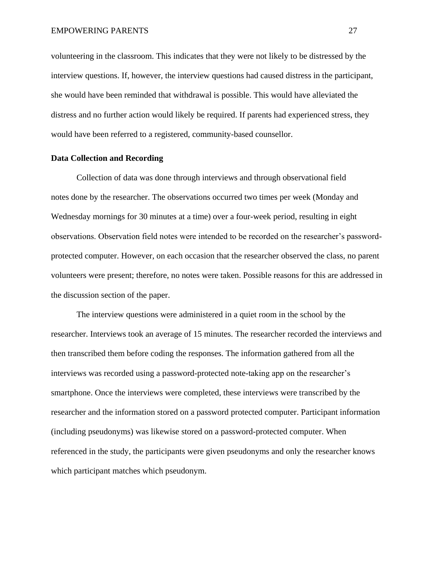volunteering in the classroom. This indicates that they were not likely to be distressed by the interview questions. If, however, the interview questions had caused distress in the participant, she would have been reminded that withdrawal is possible. This would have alleviated the distress and no further action would likely be required. If parents had experienced stress, they would have been referred to a registered, community-based counsellor.

#### <span id="page-34-0"></span>**Data Collection and Recording**

Collection of data was done through interviews and through observational field notes done by the researcher. The observations occurred two times per week (Monday and Wednesday mornings for 30 minutes at a time) over a four-week period, resulting in eight observations. Observation field notes were intended to be recorded on the researcher's passwordprotected computer. However, on each occasion that the researcher observed the class, no parent volunteers were present; therefore, no notes were taken. Possible reasons for this are addressed in the discussion section of the paper.

The interview questions were administered in a quiet room in the school by the researcher. Interviews took an average of 15 minutes. The researcher recorded the interviews and then transcribed them before coding the responses. The information gathered from all the interviews was recorded using a password-protected note-taking app on the researcher's smartphone. Once the interviews were completed, these interviews were transcribed by the researcher and the information stored on a password protected computer. Participant information (including pseudonyms) was likewise stored on a password-protected computer. When referenced in the study, the participants were given pseudonyms and only the researcher knows which participant matches which pseudonym.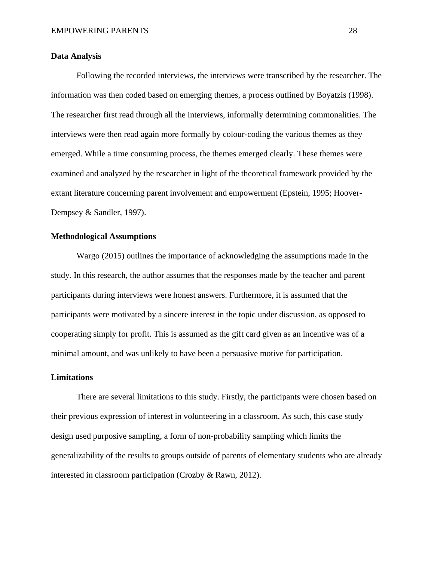### <span id="page-35-0"></span>**Data Analysis**

Following the recorded interviews, the interviews were transcribed by the researcher. The information was then coded based on emerging themes, a process outlined by Boyatzis (1998). The researcher first read through all the interviews, informally determining commonalities. The interviews were then read again more formally by colour-coding the various themes as they emerged. While a time consuming process, the themes emerged clearly. These themes were examined and analyzed by the researcher in light of the theoretical framework provided by the extant literature concerning parent involvement and empowerment (Epstein, 1995; Hoover-Dempsey & Sandler, 1997).

#### <span id="page-35-1"></span>**Methodological Assumptions**

Wargo (2015) outlines the importance of acknowledging the assumptions made in the study. In this research, the author assumes that the responses made by the teacher and parent participants during interviews were honest answers. Furthermore, it is assumed that the participants were motivated by a sincere interest in the topic under discussion, as opposed to cooperating simply for profit. This is assumed as the gift card given as an incentive was of a minimal amount, and was unlikely to have been a persuasive motive for participation.

#### <span id="page-35-2"></span>**Limitations**

There are several limitations to this study. Firstly, the participants were chosen based on their previous expression of interest in volunteering in a classroom. As such, this case study design used purposive sampling, a form of non-probability sampling which limits the generalizability of the results to groups outside of parents of elementary students who are already interested in classroom participation (Crozby & Rawn, 2012).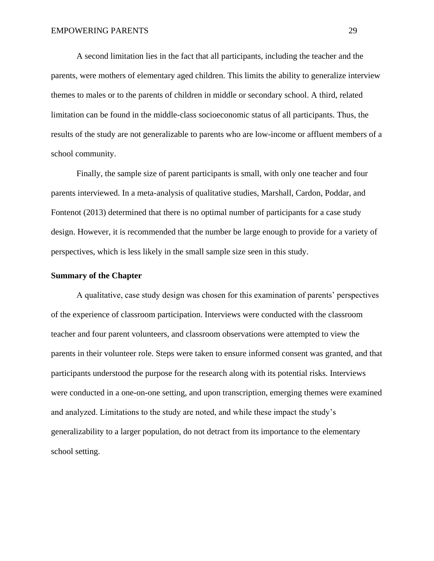A second limitation lies in the fact that all participants, including the teacher and the parents, were mothers of elementary aged children. This limits the ability to generalize interview themes to males or to the parents of children in middle or secondary school. A third, related limitation can be found in the middle-class socioeconomic status of all participants. Thus, the results of the study are not generalizable to parents who are low-income or affluent members of a school community.

Finally, the sample size of parent participants is small, with only one teacher and four parents interviewed. In a meta-analysis of qualitative studies, Marshall, Cardon, Poddar, and Fontenot (2013) determined that there is no optimal number of participants for a case study design. However, it is recommended that the number be large enough to provide for a variety of perspectives, which is less likely in the small sample size seen in this study.

#### <span id="page-36-0"></span>**Summary of the Chapter**

A qualitative, case study design was chosen for this examination of parents' perspectives of the experience of classroom participation. Interviews were conducted with the classroom teacher and four parent volunteers, and classroom observations were attempted to view the parents in their volunteer role. Steps were taken to ensure informed consent was granted, and that participants understood the purpose for the research along with its potential risks. Interviews were conducted in a one-on-one setting, and upon transcription, emerging themes were examined and analyzed. Limitations to the study are noted, and while these impact the study's generalizability to a larger population, do not detract from its importance to the elementary school setting.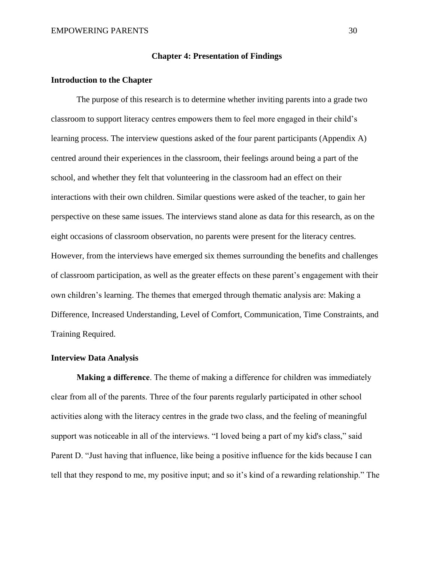### <span id="page-37-0"></span>**Chapter 4: Presentation of Findings**

### <span id="page-37-1"></span>**Introduction to the Chapter**

The purpose of this research is to determine whether inviting parents into a grade two classroom to support literacy centres empowers them to feel more engaged in their child's learning process. The interview questions asked of the four parent participants (Appendix A) centred around their experiences in the classroom, their feelings around being a part of the school, and whether they felt that volunteering in the classroom had an effect on their interactions with their own children. Similar questions were asked of the teacher, to gain her perspective on these same issues. The interviews stand alone as data for this research, as on the eight occasions of classroom observation, no parents were present for the literacy centres. However, from the interviews have emerged six themes surrounding the benefits and challenges of classroom participation, as well as the greater effects on these parent's engagement with their own children's learning. The themes that emerged through thematic analysis are: Making a Difference, Increased Understanding, Level of Comfort, Communication, Time Constraints, and Training Required.

### <span id="page-37-2"></span>**Interview Data Analysis**

<span id="page-37-3"></span>**Making a difference**. The theme of making a difference for children was immediately clear from all of the parents. Three of the four parents regularly participated in other school activities along with the literacy centres in the grade two class, and the feeling of meaningful support was noticeable in all of the interviews. "I loved being a part of my kid's class," said Parent D. "Just having that influence, like being a positive influence for the kids because I can tell that they respond to me, my positive input; and so it's kind of a rewarding relationship." The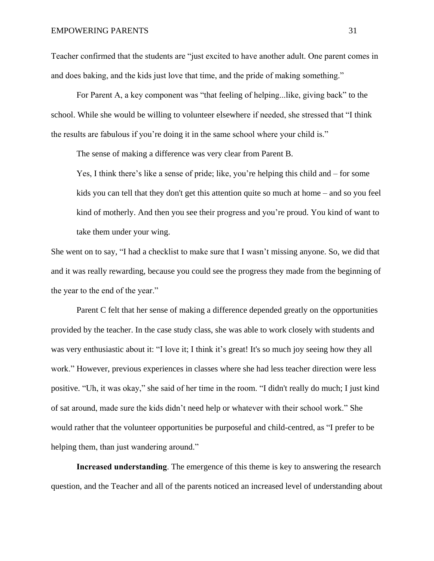Teacher confirmed that the students are "just excited to have another adult. One parent comes in and does baking, and the kids just love that time, and the pride of making something."

For Parent A, a key component was "that feeling of helping...like, giving back" to the school. While she would be willing to volunteer elsewhere if needed, she stressed that "I think the results are fabulous if you're doing it in the same school where your child is."

The sense of making a difference was very clear from Parent B.

Yes, I think there's like a sense of pride; like, you're helping this child and – for some kids you can tell that they don't get this attention quite so much at home – and so you feel kind of motherly. And then you see their progress and you're proud. You kind of want to take them under your wing.

She went on to say, "I had a checklist to make sure that I wasn't missing anyone. So, we did that and it was really rewarding, because you could see the progress they made from the beginning of the year to the end of the year."

Parent C felt that her sense of making a difference depended greatly on the opportunities provided by the teacher. In the case study class, she was able to work closely with students and was very enthusiastic about it: "I love it; I think it's great! It's so much joy seeing how they all work." However, previous experiences in classes where she had less teacher direction were less positive. "Uh, it was okay," she said of her time in the room. "I didn't really do much; I just kind of sat around, made sure the kids didn't need help or whatever with their school work." She would rather that the volunteer opportunities be purposeful and child-centred, as "I prefer to be helping them, than just wandering around."

<span id="page-38-0"></span>**Increased understanding**. The emergence of this theme is key to answering the research question, and the Teacher and all of the parents noticed an increased level of understanding about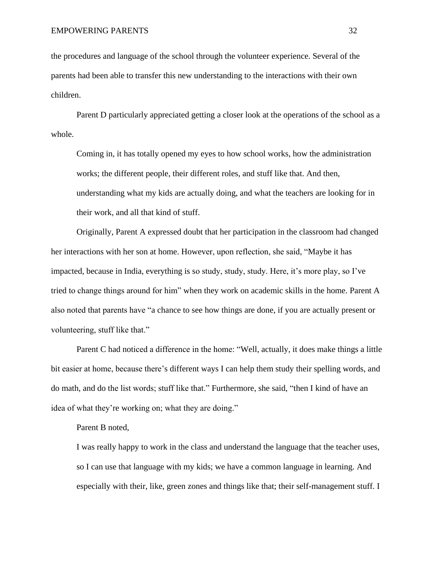the procedures and language of the school through the volunteer experience. Several of the parents had been able to transfer this new understanding to the interactions with their own children.

Parent D particularly appreciated getting a closer look at the operations of the school as a whole.

Coming in, it has totally opened my eyes to how school works, how the administration works; the different people, their different roles, and stuff like that. And then, understanding what my kids are actually doing, and what the teachers are looking for in their work, and all that kind of stuff.

Originally, Parent A expressed doubt that her participation in the classroom had changed her interactions with her son at home. However, upon reflection, she said, "Maybe it has impacted, because in India, everything is so study, study, study. Here, it's more play, so I've tried to change things around for him" when they work on academic skills in the home. Parent A also noted that parents have "a chance to see how things are done, if you are actually present or volunteering, stuff like that."

Parent C had noticed a difference in the home: "Well, actually, it does make things a little bit easier at home, because there's different ways I can help them study their spelling words, and do math, and do the list words; stuff like that." Furthermore, she said, "then I kind of have an idea of what they're working on; what they are doing."

### Parent B noted,

I was really happy to work in the class and understand the language that the teacher uses, so I can use that language with my kids; we have a common language in learning. And especially with their, like, green zones and things like that; their self-management stuff. I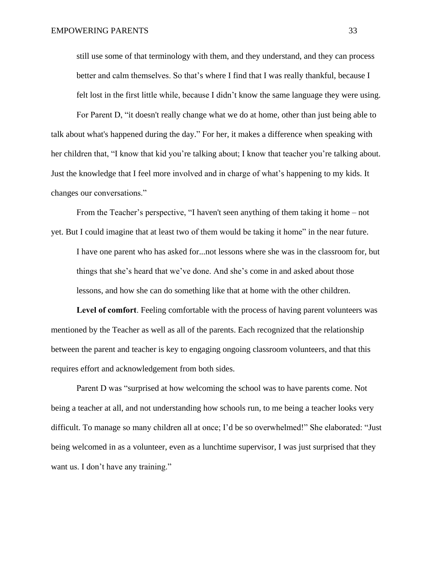still use some of that terminology with them, and they understand, and they can process better and calm themselves. So that's where I find that I was really thankful, because I felt lost in the first little while, because I didn't know the same language they were using.

For Parent D, "it doesn't really change what we do at home, other than just being able to talk about what's happened during the day." For her, it makes a difference when speaking with her children that, "I know that kid you're talking about; I know that teacher you're talking about. Just the knowledge that I feel more involved and in charge of what's happening to my kids. It changes our conversations."

From the Teacher's perspective, "I haven't seen anything of them taking it home – not yet. But I could imagine that at least two of them would be taking it home" in the near future.

I have one parent who has asked for...not lessons where she was in the classroom for, but things that she's heard that we've done. And she's come in and asked about those lessons, and how she can do something like that at home with the other children.

<span id="page-40-0"></span>**Level of comfort**. Feeling comfortable with the process of having parent volunteers was mentioned by the Teacher as well as all of the parents. Each recognized that the relationship between the parent and teacher is key to engaging ongoing classroom volunteers, and that this requires effort and acknowledgement from both sides.

Parent D was "surprised at how welcoming the school was to have parents come. Not being a teacher at all, and not understanding how schools run, to me being a teacher looks very difficult. To manage so many children all at once; I'd be so overwhelmed!" She elaborated: "Just being welcomed in as a volunteer, even as a lunchtime supervisor, I was just surprised that they want us. I don't have any training."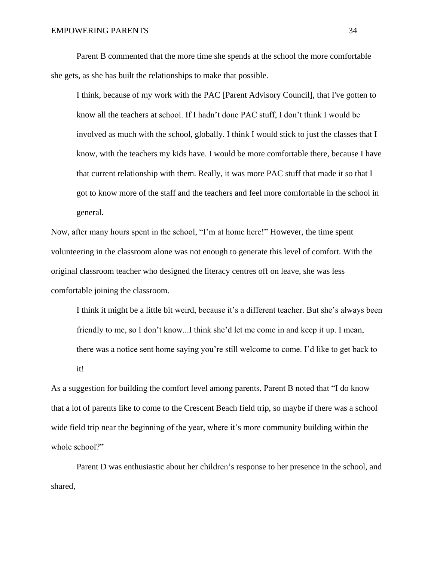Parent B commented that the more time she spends at the school the more comfortable she gets, as she has built the relationships to make that possible.

I think, because of my work with the PAC [Parent Advisory Council], that I've gotten to know all the teachers at school. If I hadn't done PAC stuff, I don't think I would be involved as much with the school, globally. I think I would stick to just the classes that I know, with the teachers my kids have. I would be more comfortable there, because I have that current relationship with them. Really, it was more PAC stuff that made it so that I got to know more of the staff and the teachers and feel more comfortable in the school in general.

Now, after many hours spent in the school, "I'm at home here!" However, the time spent volunteering in the classroom alone was not enough to generate this level of comfort. With the original classroom teacher who designed the literacy centres off on leave, she was less comfortable joining the classroom.

I think it might be a little bit weird, because it's a different teacher. But she's always been friendly to me, so I don't know...I think she'd let me come in and keep it up. I mean, there was a notice sent home saying you're still welcome to come. I'd like to get back to it!

As a suggestion for building the comfort level among parents, Parent B noted that "I do know that a lot of parents like to come to the Crescent Beach field trip, so maybe if there was a school wide field trip near the beginning of the year, where it's more community building within the whole school?"

Parent D was enthusiastic about her children's response to her presence in the school, and shared,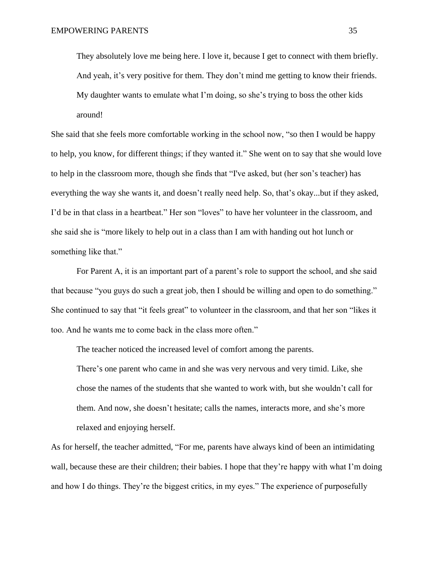They absolutely love me being here. I love it, because I get to connect with them briefly. And yeah, it's very positive for them. They don't mind me getting to know their friends. My daughter wants to emulate what I'm doing, so she's trying to boss the other kids around!

She said that she feels more comfortable working in the school now, "so then I would be happy to help, you know, for different things; if they wanted it." She went on to say that she would love to help in the classroom more, though she finds that "I've asked, but (her son's teacher) has everything the way she wants it, and doesn't really need help. So, that's okay...but if they asked, I'd be in that class in a heartbeat." Her son "loves" to have her volunteer in the classroom, and she said she is "more likely to help out in a class than I am with handing out hot lunch or something like that."

For Parent A, it is an important part of a parent's role to support the school, and she said that because "you guys do such a great job, then I should be willing and open to do something." She continued to say that "it feels great" to volunteer in the classroom, and that her son "likes it too. And he wants me to come back in the class more often."

The teacher noticed the increased level of comfort among the parents.

There's one parent who came in and she was very nervous and very timid. Like, she chose the names of the students that she wanted to work with, but she wouldn't call for them. And now, she doesn't hesitate; calls the names, interacts more, and she's more relaxed and enjoying herself.

As for herself, the teacher admitted, "For me, parents have always kind of been an intimidating wall, because these are their children; their babies. I hope that they're happy with what I'm doing and how I do things. They're the biggest critics, in my eyes." The experience of purposefully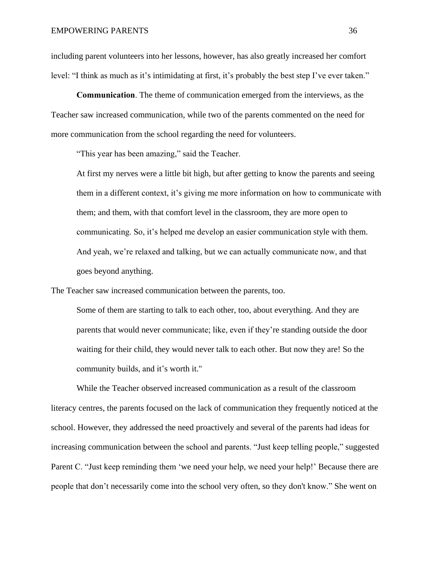including parent volunteers into her lessons, however, has also greatly increased her comfort level: "I think as much as it's intimidating at first, it's probably the best step I've ever taken."

<span id="page-43-0"></span>**Communication**. The theme of communication emerged from the interviews, as the Teacher saw increased communication, while two of the parents commented on the need for more communication from the school regarding the need for volunteers.

"This year has been amazing," said the Teacher.

At first my nerves were a little bit high, but after getting to know the parents and seeing them in a different context, it's giving me more information on how to communicate with them; and them, with that comfort level in the classroom, they are more open to communicating. So, it's helped me develop an easier communication style with them. And yeah, we're relaxed and talking, but we can actually communicate now, and that goes beyond anything.

The Teacher saw increased communication between the parents, too.

Some of them are starting to talk to each other, too, about everything. And they are parents that would never communicate; like, even if they're standing outside the door waiting for their child, they would never talk to each other. But now they are! So the community builds, and it's worth it."

While the Teacher observed increased communication as a result of the classroom literacy centres, the parents focused on the lack of communication they frequently noticed at the school. However, they addressed the need proactively and several of the parents had ideas for increasing communication between the school and parents. "Just keep telling people," suggested Parent C. "Just keep reminding them 'we need your help, we need your help!' Because there are people that don't necessarily come into the school very often, so they don't know." She went on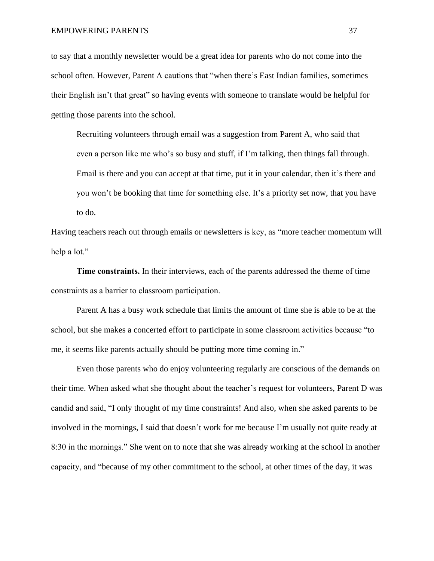to say that a monthly newsletter would be a great idea for parents who do not come into the school often. However, Parent A cautions that "when there's East Indian families, sometimes their English isn't that great" so having events with someone to translate would be helpful for getting those parents into the school.

Recruiting volunteers through email was a suggestion from Parent A, who said that even a person like me who's so busy and stuff, if I'm talking, then things fall through. Email is there and you can accept at that time, put it in your calendar, then it's there and you won't be booking that time for something else. It's a priority set now, that you have to do.

Having teachers reach out through emails or newsletters is key, as "more teacher momentum will help a lot."

<span id="page-44-0"></span>**Time constraints.** In their interviews, each of the parents addressed the theme of time constraints as a barrier to classroom participation.

Parent A has a busy work schedule that limits the amount of time she is able to be at the school, but she makes a concerted effort to participate in some classroom activities because "to me, it seems like parents actually should be putting more time coming in."

Even those parents who do enjoy volunteering regularly are conscious of the demands on their time. When asked what she thought about the teacher's request for volunteers, Parent D was candid and said, "I only thought of my time constraints! And also, when she asked parents to be involved in the mornings, I said that doesn't work for me because I'm usually not quite ready at 8:30 in the mornings." She went on to note that she was already working at the school in another capacity, and "because of my other commitment to the school, at other times of the day, it was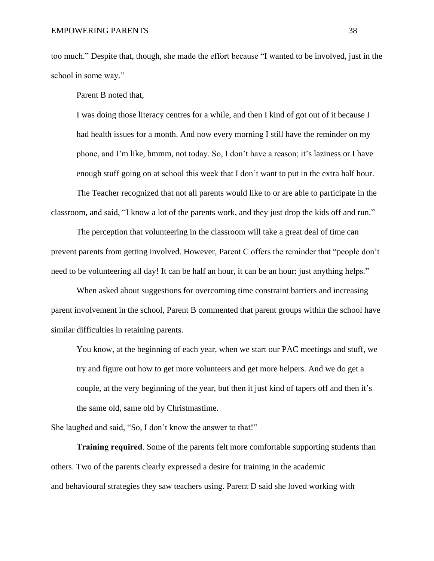too much." Despite that, though, she made the effort because "I wanted to be involved, just in the school in some way."

Parent B noted that,

I was doing those literacy centres for a while, and then I kind of got out of it because I had health issues for a month. And now every morning I still have the reminder on my phone, and I'm like, hmmm, not today. So, I don't have a reason; it's laziness or I have enough stuff going on at school this week that I don't want to put in the extra half hour.

The Teacher recognized that not all parents would like to or are able to participate in the classroom, and said, "I know a lot of the parents work, and they just drop the kids off and run."

The perception that volunteering in the classroom will take a great deal of time can prevent parents from getting involved. However, Parent C offers the reminder that "people don't need to be volunteering all day! It can be half an hour, it can be an hour; just anything helps."

When asked about suggestions for overcoming time constraint barriers and increasing parent involvement in the school, Parent B commented that parent groups within the school have similar difficulties in retaining parents.

You know, at the beginning of each year, when we start our PAC meetings and stuff, we try and figure out how to get more volunteers and get more helpers. And we do get a couple, at the very beginning of the year, but then it just kind of tapers off and then it's the same old, same old by Christmastime.

She laughed and said, "So, I don't know the answer to that!"

<span id="page-45-0"></span>**Training required**. Some of the parents felt more comfortable supporting students than others. Two of the parents clearly expressed a desire for training in the academic and behavioural strategies they saw teachers using. Parent D said she loved working with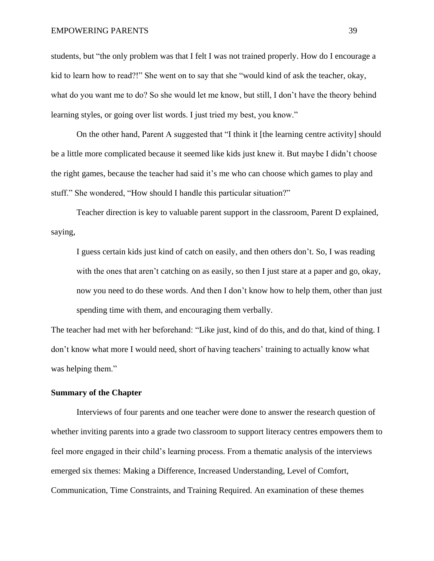#### EMPOWERING PARENTS 39

students, but "the only problem was that I felt I was not trained properly. How do I encourage a kid to learn how to read?!" She went on to say that she "would kind of ask the teacher, okay, what do you want me to do? So she would let me know, but still, I don't have the theory behind learning styles, or going over list words. I just tried my best, you know."

On the other hand, Parent A suggested that "I think it [the learning centre activity] should be a little more complicated because it seemed like kids just knew it. But maybe I didn't choose the right games, because the teacher had said it's me who can choose which games to play and stuff." She wondered, "How should I handle this particular situation?"

Teacher direction is key to valuable parent support in the classroom, Parent D explained, saying,

I guess certain kids just kind of catch on easily, and then others don't. So, I was reading with the ones that aren't catching on as easily, so then I just stare at a paper and go, okay, now you need to do these words. And then I don't know how to help them, other than just spending time with them, and encouraging them verbally.

The teacher had met with her beforehand: "Like just, kind of do this, and do that, kind of thing. I don't know what more I would need, short of having teachers' training to actually know what was helping them."

### <span id="page-46-0"></span>**Summary of the Chapter**

Interviews of four parents and one teacher were done to answer the research question of whether inviting parents into a grade two classroom to support literacy centres empowers them to feel more engaged in their child's learning process. From a thematic analysis of the interviews emerged six themes: Making a Difference, Increased Understanding, Level of Comfort, Communication, Time Constraints, and Training Required. An examination of these themes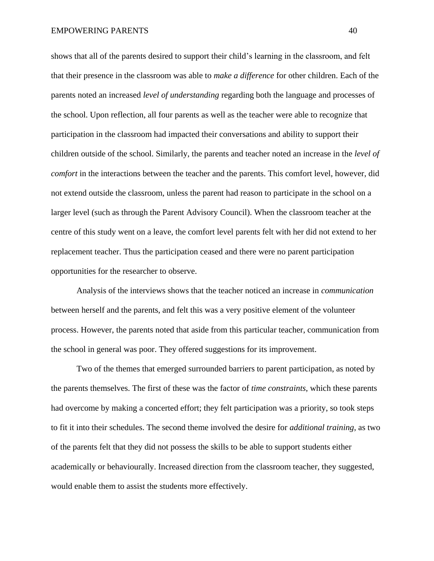shows that all of the parents desired to support their child's learning in the classroom, and felt that their presence in the classroom was able to *make a difference* for other children. Each of the parents noted an increased *level of understanding* regarding both the language and processes of the school. Upon reflection, all four parents as well as the teacher were able to recognize that participation in the classroom had impacted their conversations and ability to support their children outside of the school. Similarly, the parents and teacher noted an increase in the *level of comfort* in the interactions between the teacher and the parents. This comfort level, however, did not extend outside the classroom, unless the parent had reason to participate in the school on a larger level (such as through the Parent Advisory Council). When the classroom teacher at the centre of this study went on a leave, the comfort level parents felt with her did not extend to her replacement teacher. Thus the participation ceased and there were no parent participation opportunities for the researcher to observe.

Analysis of the interviews shows that the teacher noticed an increase in *communication* between herself and the parents, and felt this was a very positive element of the volunteer process. However, the parents noted that aside from this particular teacher, communication from the school in general was poor. They offered suggestions for its improvement.

Two of the themes that emerged surrounded barriers to parent participation, as noted by the parents themselves. The first of these was the factor of *time constraints*, which these parents had overcome by making a concerted effort; they felt participation was a priority, so took steps to fit it into their schedules. The second theme involved the desire for *additional training*, as two of the parents felt that they did not possess the skills to be able to support students either academically or behaviourally. Increased direction from the classroom teacher, they suggested, would enable them to assist the students more effectively.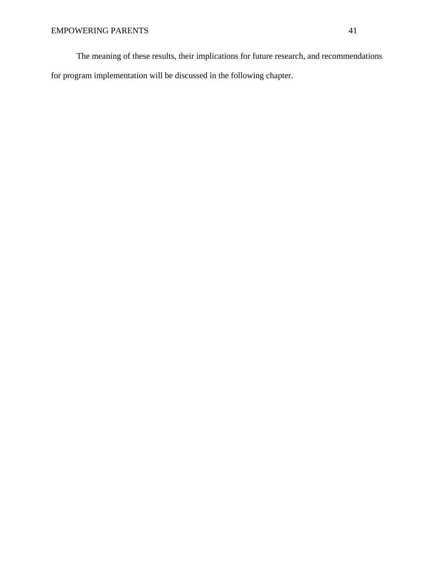The meaning of these results, their implications for future research, and recommendations for program implementation will be discussed in the following chapter.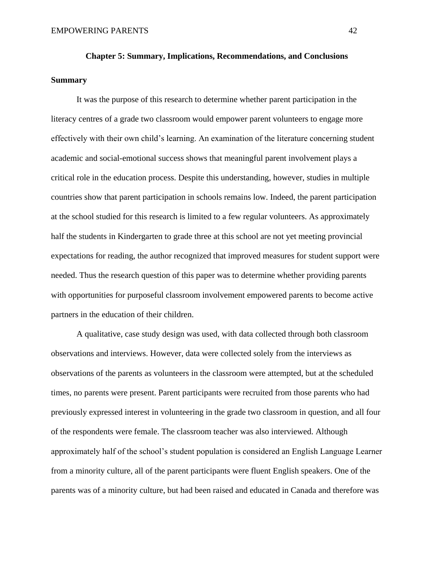# <span id="page-49-1"></span><span id="page-49-0"></span>**Chapter 5: Summary, Implications, Recommendations, and Conclusions Summary**

It was the purpose of this research to determine whether parent participation in the literacy centres of a grade two classroom would empower parent volunteers to engage more effectively with their own child's learning. An examination of the literature concerning student academic and social-emotional success shows that meaningful parent involvement plays a critical role in the education process. Despite this understanding, however, studies in multiple countries show that parent participation in schools remains low. Indeed, the parent participation at the school studied for this research is limited to a few regular volunteers. As approximately half the students in Kindergarten to grade three at this school are not yet meeting provincial expectations for reading, the author recognized that improved measures for student support were needed. Thus the research question of this paper was to determine whether providing parents with opportunities for purposeful classroom involvement empowered parents to become active partners in the education of their children.

A qualitative, case study design was used, with data collected through both classroom observations and interviews. However, data were collected solely from the interviews as observations of the parents as volunteers in the classroom were attempted, but at the scheduled times, no parents were present. Parent participants were recruited from those parents who had previously expressed interest in volunteering in the grade two classroom in question, and all four of the respondents were female. The classroom teacher was also interviewed. Although approximately half of the school's student population is considered an English Language Learner from a minority culture, all of the parent participants were fluent English speakers. One of the parents was of a minority culture, but had been raised and educated in Canada and therefore was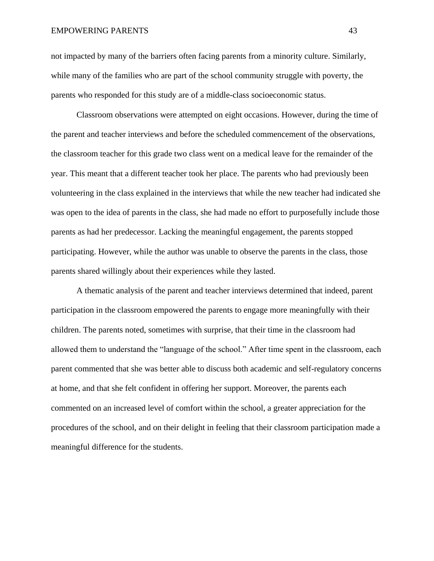#### EMPOWERING PARENTS 43

not impacted by many of the barriers often facing parents from a minority culture. Similarly, while many of the families who are part of the school community struggle with poverty, the parents who responded for this study are of a middle-class socioeconomic status.

Classroom observations were attempted on eight occasions. However, during the time of the parent and teacher interviews and before the scheduled commencement of the observations, the classroom teacher for this grade two class went on a medical leave for the remainder of the year. This meant that a different teacher took her place. The parents who had previously been volunteering in the class explained in the interviews that while the new teacher had indicated she was open to the idea of parents in the class, she had made no effort to purposefully include those parents as had her predecessor. Lacking the meaningful engagement, the parents stopped participating. However, while the author was unable to observe the parents in the class, those parents shared willingly about their experiences while they lasted.

A thematic analysis of the parent and teacher interviews determined that indeed, parent participation in the classroom empowered the parents to engage more meaningfully with their children. The parents noted, sometimes with surprise, that their time in the classroom had allowed them to understand the "language of the school." After time spent in the classroom, each parent commented that she was better able to discuss both academic and self-regulatory concerns at home, and that she felt confident in offering her support. Moreover, the parents each commented on an increased level of comfort within the school, a greater appreciation for the procedures of the school, and on their delight in feeling that their classroom participation made a meaningful difference for the students.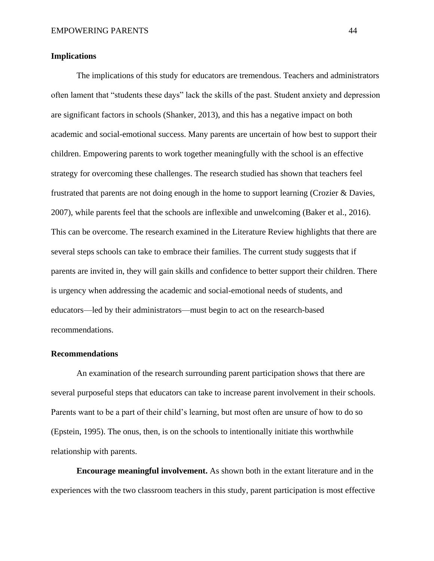### <span id="page-51-0"></span>**Implications**

The implications of this study for educators are tremendous. Teachers and administrators often lament that "students these days" lack the skills of the past. Student anxiety and depression are significant factors in schools (Shanker, 2013), and this has a negative impact on both academic and social-emotional success. Many parents are uncertain of how best to support their children. Empowering parents to work together meaningfully with the school is an effective strategy for overcoming these challenges. The research studied has shown that teachers feel frustrated that parents are not doing enough in the home to support learning (Crozier & Davies, 2007), while parents feel that the schools are inflexible and unwelcoming (Baker et al., 2016). This can be overcome. The research examined in the Literature Review highlights that there are several steps schools can take to embrace their families. The current study suggests that if parents are invited in, they will gain skills and confidence to better support their children. There is urgency when addressing the academic and social-emotional needs of students, and educators—led by their administrators—must begin to act on the research-based recommendations.

#### <span id="page-51-1"></span>**Recommendations**

An examination of the research surrounding parent participation shows that there are several purposeful steps that educators can take to increase parent involvement in their schools. Parents want to be a part of their child's learning, but most often are unsure of how to do so (Epstein, 1995). The onus, then, is on the schools to intentionally initiate this worthwhile relationship with parents.

<span id="page-51-2"></span>**Encourage meaningful involvement.** As shown both in the extant literature and in the experiences with the two classroom teachers in this study, parent participation is most effective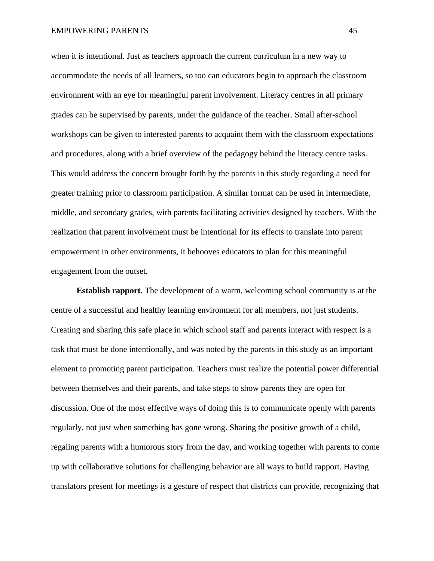#### EMPOWERING PARENTS 45

when it is intentional. Just as teachers approach the current curriculum in a new way to accommodate the needs of all learners, so too can educators begin to approach the classroom environment with an eye for meaningful parent involvement. Literacy centres in all primary grades can be supervised by parents, under the guidance of the teacher. Small after-school workshops can be given to interested parents to acquaint them with the classroom expectations and procedures, along with a brief overview of the pedagogy behind the literacy centre tasks. This would address the concern brought forth by the parents in this study regarding a need for greater training prior to classroom participation. A similar format can be used in intermediate, middle, and secondary grades, with parents facilitating activities designed by teachers. With the realization that parent involvement must be intentional for its effects to translate into parent empowerment in other environments, it behooves educators to plan for this meaningful engagement from the outset.

<span id="page-52-0"></span>**Establish rapport.** The development of a warm, welcoming school community is at the centre of a successful and healthy learning environment for all members, not just students. Creating and sharing this safe place in which school staff and parents interact with respect is a task that must be done intentionally, and was noted by the parents in this study as an important element to promoting parent participation. Teachers must realize the potential power differential between themselves and their parents, and take steps to show parents they are open for discussion. One of the most effective ways of doing this is to communicate openly with parents regularly, not just when something has gone wrong. Sharing the positive growth of a child, regaling parents with a humorous story from the day, and working together with parents to come up with collaborative solutions for challenging behavior are all ways to build rapport. Having translators present for meetings is a gesture of respect that districts can provide, recognizing that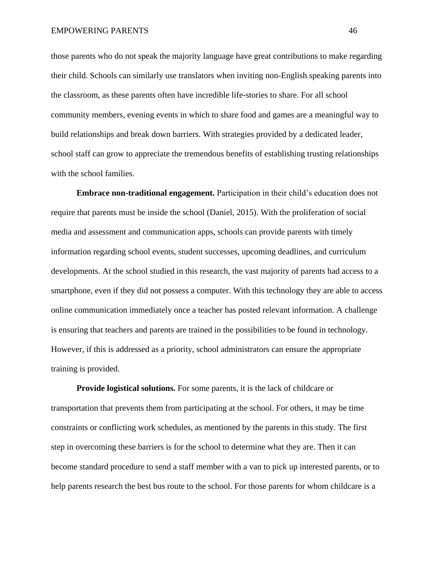those parents who do not speak the majority language have great contributions to make regarding their child. Schools can similarly use translators when inviting non-English speaking parents into the classroom, as these parents often have incredible life-stories to share. For all school community members, evening events in which to share food and games are a meaningful way to build relationships and break down barriers. With strategies provided by a dedicated leader, school staff can grow to appreciate the tremendous benefits of establishing trusting relationships with the school families.

<span id="page-53-0"></span>**Embrace non-traditional engagement.** Participation in their child's education does not require that parents must be inside the school (Daniel, 2015). With the proliferation of social media and assessment and communication apps, schools can provide parents with timely information regarding school events, student successes, upcoming deadlines, and curriculum developments. At the school studied in this research, the vast majority of parents had access to a smartphone, even if they did not possess a computer. With this technology they are able to access online communication immediately once a teacher has posted relevant information. A challenge is ensuring that teachers and parents are trained in the possibilities to be found in technology. However, if this is addressed as a priority, school administrators can ensure the appropriate training is provided.

<span id="page-53-1"></span>**Provide logistical solutions.** For some parents, it is the lack of childcare or transportation that prevents them from participating at the school. For others, it may be time constraints or conflicting work schedules, as mentioned by the parents in this study. The first step in overcoming these barriers is for the school to determine what they are. Then it can become standard procedure to send a staff member with a van to pick up interested parents, or to help parents research the best bus route to the school. For those parents for whom childcare is a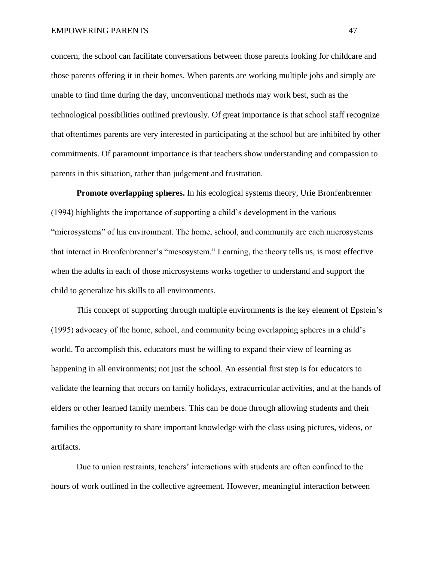concern, the school can facilitate conversations between those parents looking for childcare and those parents offering it in their homes. When parents are working multiple jobs and simply are unable to find time during the day, unconventional methods may work best, such as the technological possibilities outlined previously. Of great importance is that school staff recognize that oftentimes parents are very interested in participating at the school but are inhibited by other commitments. Of paramount importance is that teachers show understanding and compassion to parents in this situation, rather than judgement and frustration.

<span id="page-54-0"></span>**Promote overlapping spheres.** In his ecological systems theory, Urie Bronfenbrenner (1994) highlights the importance of supporting a child's development in the various "microsystems" of his environment. The home, school, and community are each microsystems that interact in Bronfenbrenner's "mesosystem." Learning, the theory tells us, is most effective when the adults in each of those microsystems works together to understand and support the child to generalize his skills to all environments.

This concept of supporting through multiple environments is the key element of Epstein's (1995) advocacy of the home, school, and community being overlapping spheres in a child's world. To accomplish this, educators must be willing to expand their view of learning as happening in all environments; not just the school. An essential first step is for educators to validate the learning that occurs on family holidays, extracurricular activities, and at the hands of elders or other learned family members. This can be done through allowing students and their families the opportunity to share important knowledge with the class using pictures, videos, or artifacts.

Due to union restraints, teachers' interactions with students are often confined to the hours of work outlined in the collective agreement. However, meaningful interaction between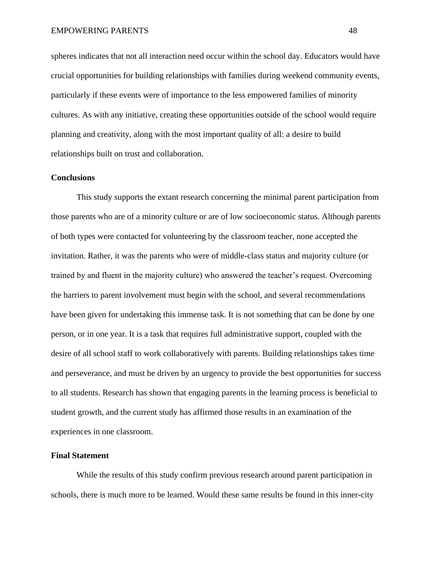spheres indicates that not all interaction need occur within the school day. Educators would have crucial opportunities for building relationships with families during weekend community events, particularly if these events were of importance to the less empowered families of minority cultures. As with any initiative, creating these opportunities outside of the school would require planning and creativity, along with the most important quality of all: a desire to build relationships built on trust and collaboration.

#### <span id="page-55-0"></span>**Conclusions**

This study supports the extant research concerning the minimal parent participation from those parents who are of a minority culture or are of low socioeconomic status. Although parents of both types were contacted for volunteering by the classroom teacher, none accepted the invitation. Rather, it was the parents who were of middle-class status and majority culture (or trained by and fluent in the majority culture) who answered the teacher's request. Overcoming the barriers to parent involvement must begin with the school, and several recommendations have been given for undertaking this immense task. It is not something that can be done by one person, or in one year. It is a task that requires full administrative support, coupled with the desire of all school staff to work collaboratively with parents. Building relationships takes time and perseverance, and must be driven by an urgency to provide the best opportunities for success to all students. Research has shown that engaging parents in the learning process is beneficial to student growth, and the current study has affirmed those results in an examination of the experiences in one classroom.

### <span id="page-55-1"></span>**Final Statement**

While the results of this study confirm previous research around parent participation in schools, there is much more to be learned. Would these same results be found in this inner-city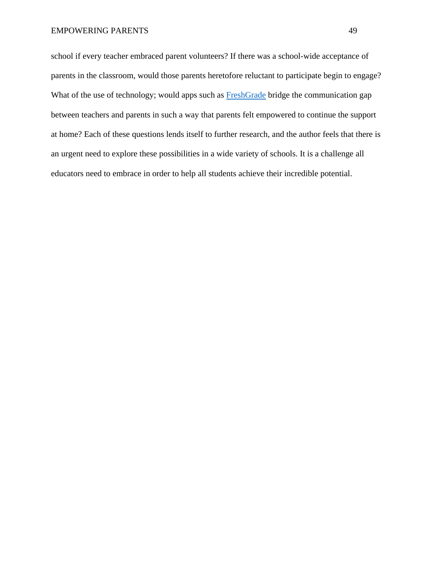school if every teacher embraced parent volunteers? If there was a school-wide acceptance of parents in the classroom, would those parents heretofore reluctant to participate begin to engage? What of the use of technology; would apps such as **FreshGrade** bridge the communication gap between teachers and parents in such a way that parents felt empowered to continue the support at home? Each of these questions lends itself to further research, and the author feels that there is an urgent need to explore these possibilities in a wide variety of schools. It is a challenge all educators need to embrace in order to help all students achieve their incredible potential.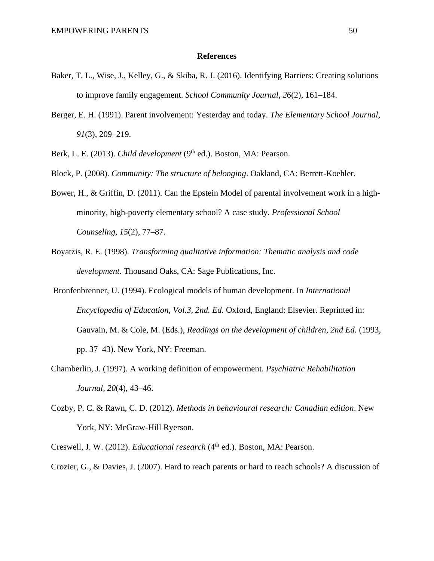#### **References**

- <span id="page-57-0"></span>Baker, T. L., Wise, J., Kelley, G., & Skiba, R. J. (2016). Identifying Barriers: Creating solutions to improve family engagement. *School Community Journal*, *26*(2), 161–184.
- Berger, E. H. (1991). Parent involvement: Yesterday and today. *The Elementary School Journal*, *91*(3), 209–219.
- Berk, L. E. (2013). *Child development* (9<sup>th</sup> ed.). Boston, MA: Pearson.

Block, P. (2008). *Community: The structure of belonging*. Oakland, CA: Berrett-Koehler.

- Bower, H., & Griffin, D. (2011). Can the Epstein Model of parental involvement work in a highminority, high-poverty elementary school? A case study. *Professional School Counseling, 15*(2), 77–87.
- Boyatzis, R. E. (1998). *Transforming qualitative information: Thematic analysis and code development*. Thousand Oaks, CA: Sage Publications, Inc.
- Bronfenbrenner, U. (1994). Ecological models of human development. In *International Encyclopedia of Education, Vol.3, 2nd. Ed.* Oxford, England: Elsevier. Reprinted in: Gauvain, M. & Cole, M. (Eds.), *Readings on the development of children, 2nd Ed.* (1993, pp. 37–43). New York, NY: Freeman.
- Chamberlin, J. (1997). A working definition of empowerment. *Psychiatric Rehabilitation Journal, 20*(4), 43–46.
- Cozby, P. C. & Rawn, C. D. (2012). *Methods in behavioural research: Canadian edition*. New York, NY: McGraw-Hill Ryerson.

Creswell, J. W. (2012). *Educational research* (4<sup>th</sup> ed.). Boston, MA: Pearson.

Crozier, G., & Davies, J. (2007). Hard to reach parents or hard to reach schools? A discussion of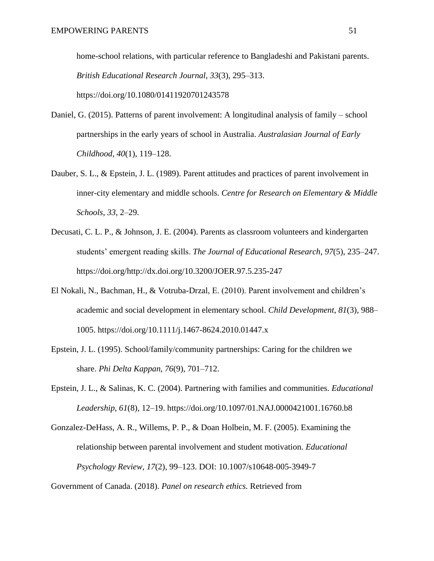home-school relations, with particular reference to Bangladeshi and Pakistani parents. *British Educational Research Journal*, *33*(3), 295–313. https://doi.org/10.1080/01411920701243578

- Daniel, G. (2015). Patterns of parent involvement: A longitudinal analysis of family school partnerships in the early years of school in Australia. *Australasian Journal of Early Childhood*, *40*(1), 119–128.
- Dauber, S. L., & Epstein, J. L. (1989). Parent attitudes and practices of parent involvement in inner-city elementary and middle schools. *Centre for Research on Elementary & Middle Schools, 33*, 2–29.
- Decusati, C. L. P., & Johnson, J. E. (2004). Parents as classroom volunteers and kindergarten students' emergent reading skills. *The Journal of Educational Research*, *97*(5), 235–247. https://doi.org/http://dx.doi.org/10.3200/JOER.97.5.235-247
- El Nokali, N., Bachman, H., & Votruba-Drzal, E. (2010). Parent involvement and children's academic and social development in elementary school. *Child Development*, *81*(3), 988– 1005. https://doi.org/10.1111/j.1467-8624.2010.01447.x
- Epstein, J. L. (1995). School/family/community partnerships: Caring for the children we share. *Phi Delta Kappan*, *76*(9), 701–712.
- Epstein, J. L., & Salinas, K. C. (2004). Partnering with families and communities. *Educational Leadership*, *61*(8), 12–19. https://doi.org/10.1097/01.NAJ.0000421001.16760.b8
- Gonzalez-DeHass, A. R., Willems, P. P., & Doan Holbein, M. F. (2005). Examining the relationship between parental involvement and student motivation. *Educational Psychology Review, 17*(2), 99–123. DOI: 10.1007/s10648-005-3949-7

Government of Canada. (2018). *Panel on research ethics.* Retrieved from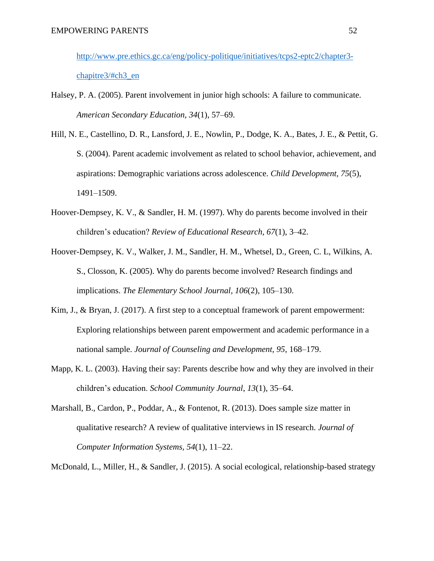[http://www.pre.ethics.gc.ca/eng/policy-politique/initiatives/tcps2-eptc2/chapter3](http://www.pre.ethics.gc.ca/eng/policy-politique/initiatives/tcps2-eptc2/chapter3-chapitre3/#ch3_en) [chapitre3/#ch3\\_en](http://www.pre.ethics.gc.ca/eng/policy-politique/initiatives/tcps2-eptc2/chapter3-chapitre3/#ch3_en)

- Halsey, P. A. (2005). Parent involvement in junior high schools: A failure to communicate. *American Secondary Education, 34*(1), 57–69.
- Hill, N. E., Castellino, D. R., Lansford, J. E., Nowlin, P., Dodge, K. A., Bates, J. E., & Pettit, G. S. (2004). Parent academic involvement as related to school behavior, achievement, and aspirations: Demographic variations across adolescence. *Child Development, 75*(5), 1491–1509.
- Hoover-Dempsey, K. V., & Sandler, H. M. (1997). Why do parents become involved in their children's education? *Review of Educational Research*, *67*(1), 3–42.
- Hoover-Dempsey, K. V., Walker, J. M., Sandler, H. M., Whetsel, D., Green, C. L, Wilkins, A. S., Closson, K. (2005). Why do parents become involved? Research findings and implications. *The Elementary School Journal, 106*(2), 105–130.
- Kim, J., & Bryan, J. (2017). A first step to a conceptual framework of parent empowerment: Exploring relationships between parent empowerment and academic performance in a national sample. *Journal of Counseling and Development, 95*, 168–179.
- Mapp, K. L. (2003). Having their say: Parents describe how and why they are involved in their children's education. *School Community Journal*, *13*(1), 35–64.
- Marshall, B., Cardon, P., Poddar, A., & Fontenot, R. (2013). Does sample size matter in qualitative research? A review of qualitative interviews in IS research. *Journal of Computer Information Systems, 54*(1), 11–22.
- McDonald, L., Miller, H., & Sandler, J. (2015). A social ecological, relationship-based strategy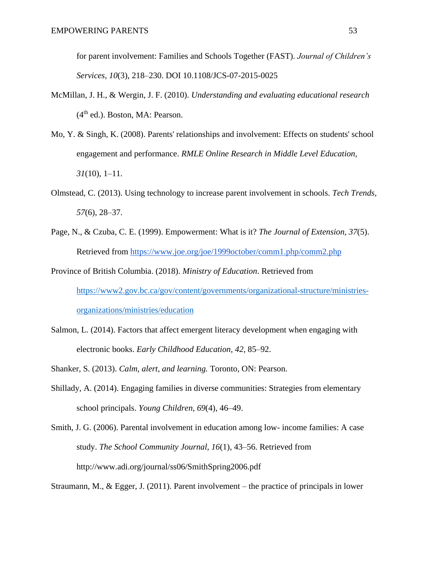for parent involvement: Families and Schools Together (FAST). *Journal of Children's Services, 10*(3), 218–230. DOI 10.1108/JCS-07-2015-0025

- McMillan, J. H., & Wergin, J. F. (2010). *Understanding and evaluating educational research*  $(4<sup>th</sup>$  ed.). Boston, MA: Pearson.
- Mo, Y. & Singh, K. (2008). Parents' relationships and involvement: Effects on students' school engagement and performance. *RMLE Online Research in Middle Level Education, 31*(10), 1–11.
- Olmstead, C. (2013). Using technology to increase parent involvement in schools. *Tech Trends, 57*(6), 28–37.
- Page, N., & Czuba, C. E. (1999). Empowerment: What is it? *The Journal of Extension, 37*(5). Retrieved from <https://www.joe.org/joe/1999october/comm1.php/comm2.php>

Province of British Columbia. (2018). *Ministry of Education*. Retrieved from [https://www2.gov.bc.ca/gov/content/governments/organizational-structure/ministries](https://www2.gov.bc.ca/gov/content/governments/organizational-structure/ministries-organizations/ministries/education)[organizations/ministries/education](https://www2.gov.bc.ca/gov/content/governments/organizational-structure/ministries-organizations/ministries/education)

- Salmon, L. (2014). Factors that affect emergent literacy development when engaging with electronic books. *Early Childhood Education, 42*, 85–92.
- Shanker, S. (2013). *Calm, alert, and learning.* Toronto, ON: Pearson.
- Shillady, A. (2014). Engaging families in diverse communities: Strategies from elementary school principals. *Young Children, 69*(4), 46–49.

Smith, J. G. (2006). Parental involvement in education among low- income families: A case study. *The School Community Journal*, *16*(1), 43–56. Retrieved from http://www.adi.org/journal/ss06/SmithSpring2006.pdf

Straumann, M., & Egger, J. (2011). Parent involvement – the practice of principals in lower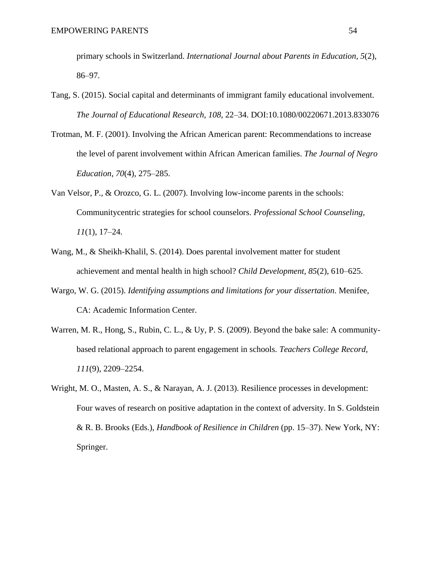primary schools in Switzerland. *International Journal about Parents in Education*, *5*(2), 86–97.

- Tang, S. (2015). Social capital and determinants of immigrant family educational involvement. *The Journal of Educational Research, 108*, 22–34. DOI:10.1080/00220671.2013.833076
- Trotman, M. F. (2001). Involving the African American parent: Recommendations to increase the level of parent involvement within African American families. *The Journal of Negro Education*, *70*(4), 275–285.
- Van Velsor, P., & Orozco, G. L. (2007). Involving low-income parents in the schools: Communitycentric strategies for school counselors. *Professional School Counseling, 11*(1), 17–24.
- Wang, M., & Sheikh-Khalil, S. (2014). Does parental involvement matter for student achievement and mental health in high school? *Child Development, 85*(2), 610–625.
- Wargo, W. G. (2015). *Identifying assumptions and limitations for your dissertation*. Menifee, CA: Academic Information Center.
- Warren, M. R., Hong, S., Rubin, C. L., & Uy, P. S. (2009). Beyond the bake sale: A communitybased relational approach to parent engagement in schools. *Teachers College Record, 111*(9), 2209–2254.
- Wright, M. O., Masten, A. S., & Narayan, A. J. (2013). Resilience processes in development: Four waves of research on positive adaptation in the context of adversity. In S. Goldstein & R. B. Brooks (Eds.), *Handbook of Resilience in Children* (pp. 15–37). New York, NY: Springer.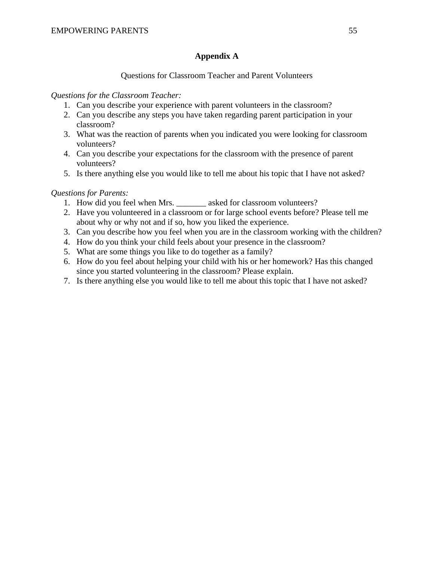# **Appendix A**

# Questions for Classroom Teacher and Parent Volunteers

# <span id="page-62-0"></span>*Questions for the Classroom Teacher:*

- 1. Can you describe your experience with parent volunteers in the classroom?
- 2. Can you describe any steps you have taken regarding parent participation in your classroom?
- 3. What was the reaction of parents when you indicated you were looking for classroom volunteers?
- 4. Can you describe your expectations for the classroom with the presence of parent volunteers?
- 5. Is there anything else you would like to tell me about his topic that I have not asked?

# *Questions for Parents:*

- 1. How did you feel when Mrs. asked for classroom volunteers?
- 2. Have you volunteered in a classroom or for large school events before? Please tell me about why or why not and if so, how you liked the experience.
- 3. Can you describe how you feel when you are in the classroom working with the children?
- 4. How do you think your child feels about your presence in the classroom?
- 5. What are some things you like to do together as a family?
- 6. How do you feel about helping your child with his or her homework? Has this changed since you started volunteering in the classroom? Please explain.
- 7. Is there anything else you would like to tell me about this topic that I have not asked?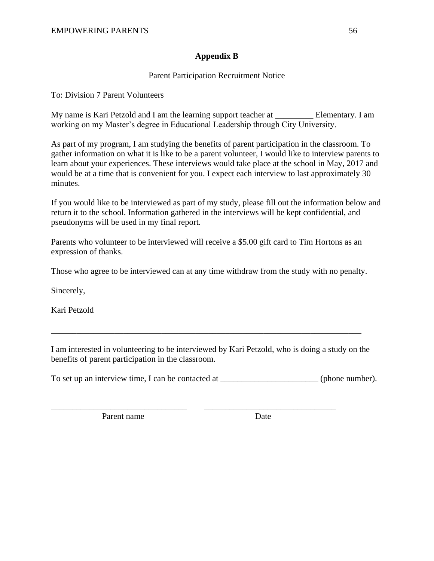# **Appendix B**

# Parent Participation Recruitment Notice

<span id="page-63-0"></span>To: Division 7 Parent Volunteers

My name is Kari Petzold and I am the learning support teacher at \_\_\_\_\_\_\_\_\_ Elementary. I am working on my Master's degree in Educational Leadership through City University.

As part of my program, I am studying the benefits of parent participation in the classroom. To gather information on what it is like to be a parent volunteer, I would like to interview parents to learn about your experiences. These interviews would take place at the school in May, 2017 and would be at a time that is convenient for you. I expect each interview to last approximately 30 minutes.

If you would like to be interviewed as part of my study, please fill out the information below and return it to the school. Information gathered in the interviews will be kept confidential, and pseudonyms will be used in my final report.

Parents who volunteer to be interviewed will receive a \$5.00 gift card to Tim Hortons as an expression of thanks.

Those who agree to be interviewed can at any time withdraw from the study with no penalty.

Sincerely,

Kari Petzold

I am interested in volunteering to be interviewed by Kari Petzold, who is doing a study on the benefits of parent participation in the classroom.

\_\_\_\_\_\_\_\_\_\_\_\_\_\_\_\_\_\_\_\_\_\_\_\_\_\_\_\_\_\_\_\_\_\_\_\_\_\_\_\_\_\_\_\_\_\_\_\_\_\_\_\_\_\_\_\_\_\_\_\_\_\_\_\_\_\_\_\_\_\_\_\_\_

To set up an interview time, I can be contacted at  $\qquad \qquad$  (phone number).

\_\_\_\_\_\_\_\_\_\_\_\_\_\_\_\_\_\_\_\_\_\_\_\_\_\_\_\_\_\_\_\_ \_\_\_\_\_\_\_\_\_\_\_\_\_\_\_\_\_\_\_\_\_\_\_\_\_\_\_\_\_\_\_

Parent name Date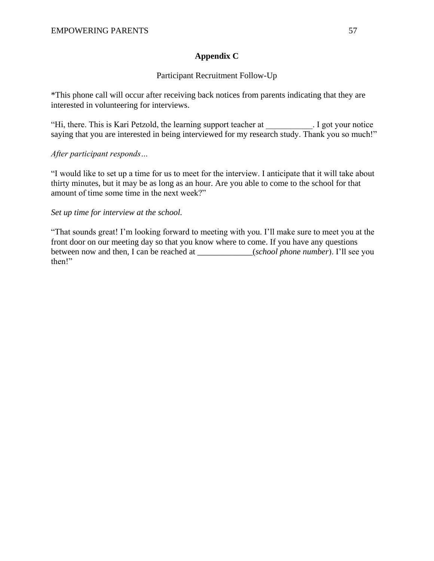# **Appendix C**

# Participant Recruitment Follow-Up

<span id="page-64-0"></span>\*This phone call will occur after receiving back notices from parents indicating that they are interested in volunteering for interviews.

"Hi, there. This is Kari Petzold, the learning support teacher at \_\_\_\_\_\_\_\_\_\_\_. I got your notice saying that you are interested in being interviewed for my research study. Thank you so much!"

# *After participant responds…*

"I would like to set up a time for us to meet for the interview. I anticipate that it will take about thirty minutes, but it may be as long as an hour. Are you able to come to the school for that amount of time some time in the next week?"

### *Set up time for interview at the school.*

"That sounds great! I'm looking forward to meeting with you. I'll make sure to meet you at the front door on our meeting day so that you know where to come. If you have any questions between now and then, I can be reached at \_\_\_\_\_\_\_\_\_\_\_\_\_(*school phone number*). I'll see you then!"